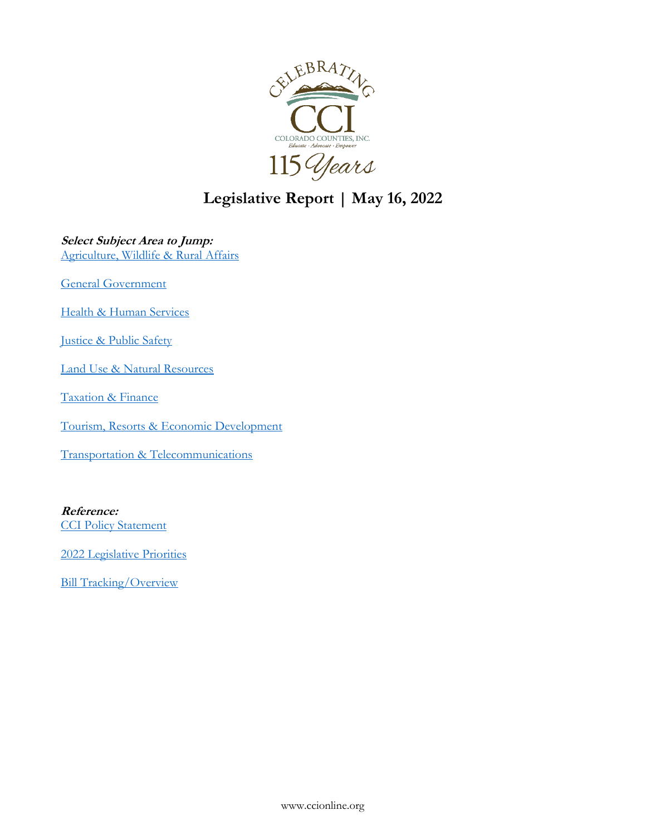

**Legislative Report | May 16, 2022**

# **Select Subject Area to Jump:**

[Agriculture, Wildlife & Rural Affairs](#page-1-0)

[General Government](#page-2-0)

[Health & Human Services](#page-8-0)

[Justice & Public Safety](#page-20-0)

[Land Use & Natural Resources](#page-23-0)

[Taxation & Finance](#page-35-0)

[Tourism, Resorts & Economic Development](#page-40-0)

[Transportation & Telecommunications](#page-46-0)

# **Reference:**

[CCI Policy Statement](http://ccionline.org/legistlative/policy-statement/)

2022 [Legislative Priorities](http://ccionline.org/advocacy/priorities/)

[Bill Tracking/Overview](https://coloradocapitolwatch.com/bill-analysis/6216/2022/0/)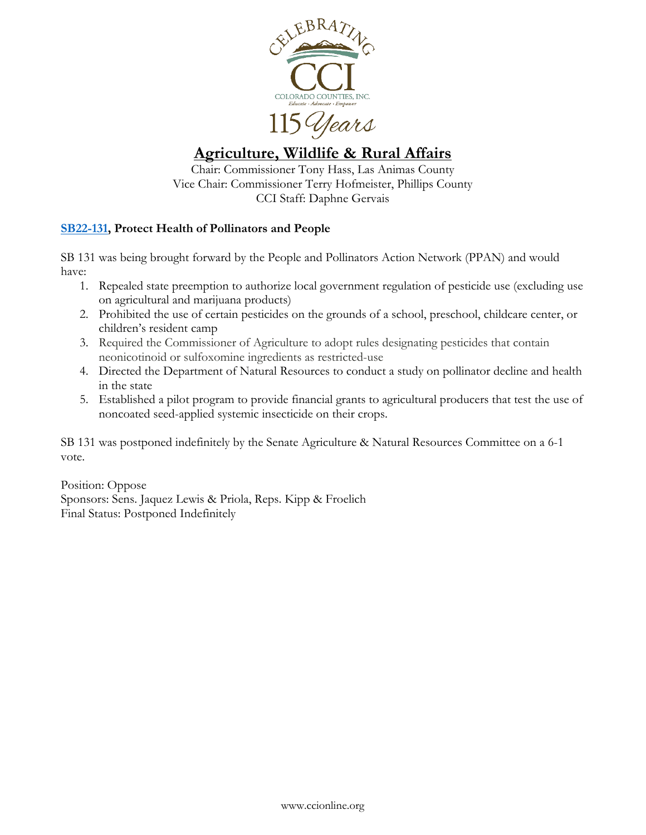

# <span id="page-1-0"></span>**Agriculture, Wildlife & Rural Affairs**

Chair: Commissioner Tony Hass, Las Animas County Vice Chair: Commissioner Terry Hofmeister, Phillips County CCI Staff: Daphne Gervais

# **[SB22-131,](https://leg.colorado.gov/bills/sb22-131) Protect Health of Pollinators and People**

SB 131 was being brought forward by the People and Pollinators Action Network (PPAN) and would have:

- 1. Repealed state preemption to authorize local government regulation of pesticide use (excluding use on agricultural and marijuana products)
- 2. Prohibited the use of certain pesticides on the grounds of a school, preschool, childcare center, or children's resident camp
- 3. Required the Commissioner of Agriculture to adopt rules designating pesticides that contain neonicotinoid or sulfoxomine ingredients as restricted-use
- 4. Directed the Department of Natural Resources to conduct a study on pollinator decline and health in the state
- 5. Established a pilot program to provide financial grants to agricultural producers that test the use of noncoated seed-applied systemic insecticide on their crops.

SB 131 was postponed indefinitely by the Senate Agriculture & Natural Resources Committee on a 6-1 vote.

Position: Oppose Sponsors: Sens. Jaquez Lewis & Priola, Reps. Kipp & Froelich Final Status: Postponed Indefinitely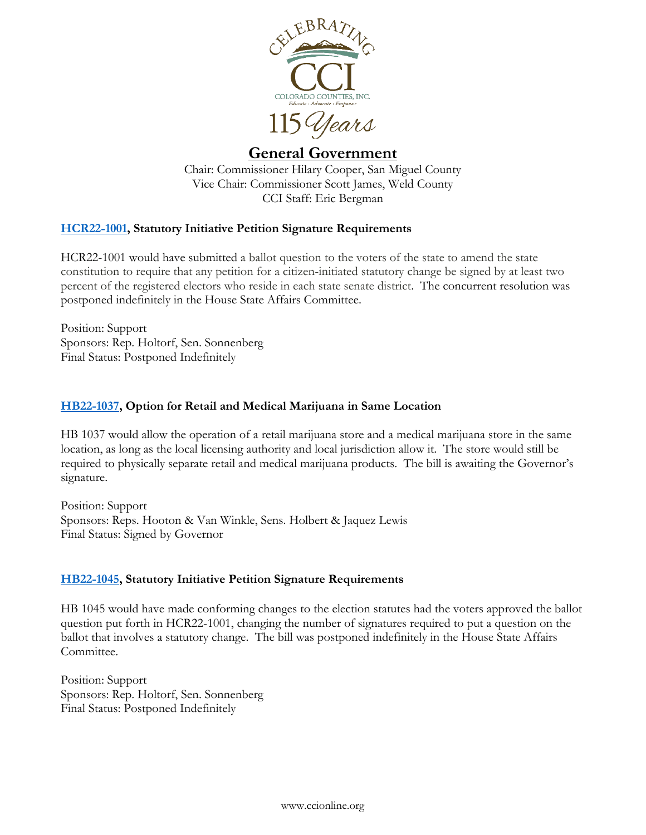

# <span id="page-2-0"></span>**General Government**

Chair: Commissioner Hilary Cooper, San Miguel County Vice Chair: Commissioner Scott James, Weld County CCI Staff: Eric Bergman

# **[HCR22-1001,](https://leg.colorado.gov/bills/hcr22-1001) Statutory Initiative Petition Signature Requirements**

HCR22-1001 would have submitted a ballot question to the voters of the state to amend the state constitution to require that any petition for a citizen-initiated statutory change be signed by at least two percent of the registered electors who reside in each state senate district. The concurrent resolution was postponed indefinitely in the House State Affairs Committee.

Position: Support Sponsors: Rep. Holtorf, Sen. Sonnenberg Final Status: Postponed Indefinitely

# **[HB22-1037,](http://leg.colorado.gov/bills/hb22-1037) Option for Retail and Medical Marijuana in Same Location**

HB 1037 would allow the operation of a retail marijuana store and a medical marijuana store in the same location, as long as the local licensing authority and local jurisdiction allow it. The store would still be required to physically separate retail and medical marijuana products. The bill is awaiting the Governor's signature.

Position: Support Sponsors: Reps. Hooton & Van Winkle, Sens. Holbert & Jaquez Lewis Final Status: Signed by Governor

# **[HB22-1045,](https://leg.colorado.gov/bills/hb22-1045) Statutory Initiative Petition Signature Requirements**

HB 1045 would have made conforming changes to the election statutes had the voters approved the ballot question put forth in HCR22-1001, changing the number of signatures required to put a question on the ballot that involves a statutory change. The bill was postponed indefinitely in the House State Affairs Committee.

Position: Support Sponsors: Rep. Holtorf, Sen. Sonnenberg Final Status: Postponed Indefinitely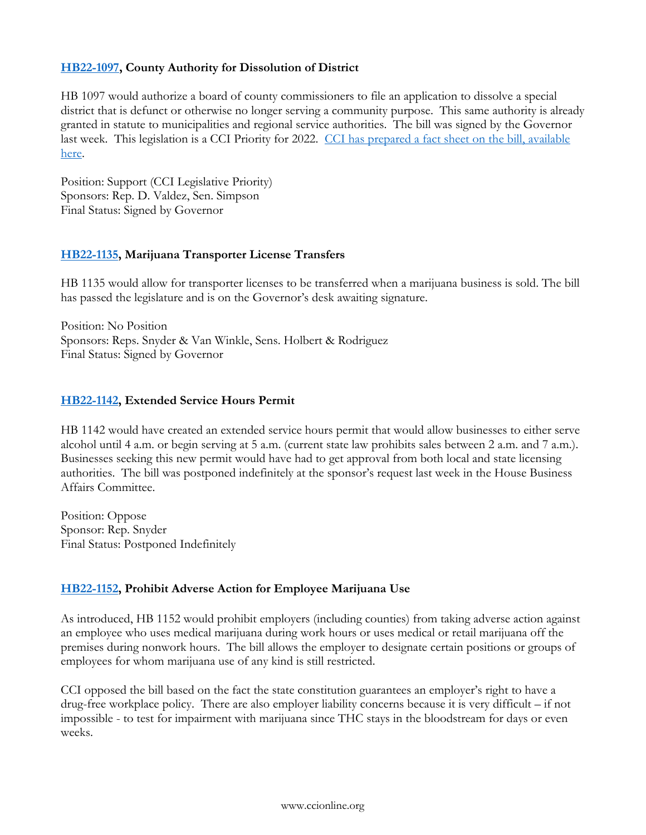### **[HB22-1097,](http://leg.colorado.gov/bills/hb22-1097) County Authority for Dissolution of District**

HB 1097 would authorize a board of county commissioners to file an application to dissolve a special district that is defunct or otherwise no longer serving a community purpose. This same authority is already granted in statute to municipalities and regional service authorities. The bill was signed by the Governor last week. This legislation is a CCI Priority for 2022. CCI has prepared a fact sheet on the bill, available [here.](http://ccionline.org/download/2022_cci_legislation/FACT-SHEET-HB22-1097-County-Authority-District-Dissolution.pdf)

Position: Support (CCI Legislative Priority) Sponsors: Rep. D. Valdez, Sen. Simpson Final Status: Signed by Governor

### **[HB22-1135,](https://leg.colorado.gov/bills/hb22-1135) Marijuana Transporter License Transfers**

HB 1135 would allow for transporter licenses to be transferred when a marijuana business is sold. The bill has passed the legislature and is on the Governor's desk awaiting signature.

Position: No Position Sponsors: Reps. Snyder & Van Winkle, Sens. Holbert & Rodriguez Final Status: Signed by Governor

### **[HB22-1142,](https://leg.colorado.gov/bills/hb22-1142) Extended Service Hours Permit**

HB 1142 would have created an extended service hours permit that would allow businesses to either serve alcohol until 4 a.m. or begin serving at 5 a.m. (current state law prohibits sales between 2 a.m. and 7 a.m.). Businesses seeking this new permit would have had to get approval from both local and state licensing authorities. The bill was postponed indefinitely at the sponsor's request last week in the House Business Affairs Committee.

Position: Oppose Sponsor: Rep. Snyder Final Status: Postponed Indefinitely

# **[HB22-1152,](https://leg.colorado.gov/bills/hb22-1152) Prohibit Adverse Action for Employee Marijuana Use**

As introduced, HB 1152 would prohibit employers (including counties) from taking adverse action against an employee who uses medical marijuana during work hours or uses medical or retail marijuana off the premises during nonwork hours. The bill allows the employer to designate certain positions or groups of employees for whom marijuana use of any kind is still restricted.

CCI opposed the bill based on the fact the state constitution guarantees an employer's right to have a drug-free workplace policy. There are also employer liability concerns because it is very difficult – if not impossible - to test for impairment with marijuana since THC stays in the bloodstream for days or even weeks.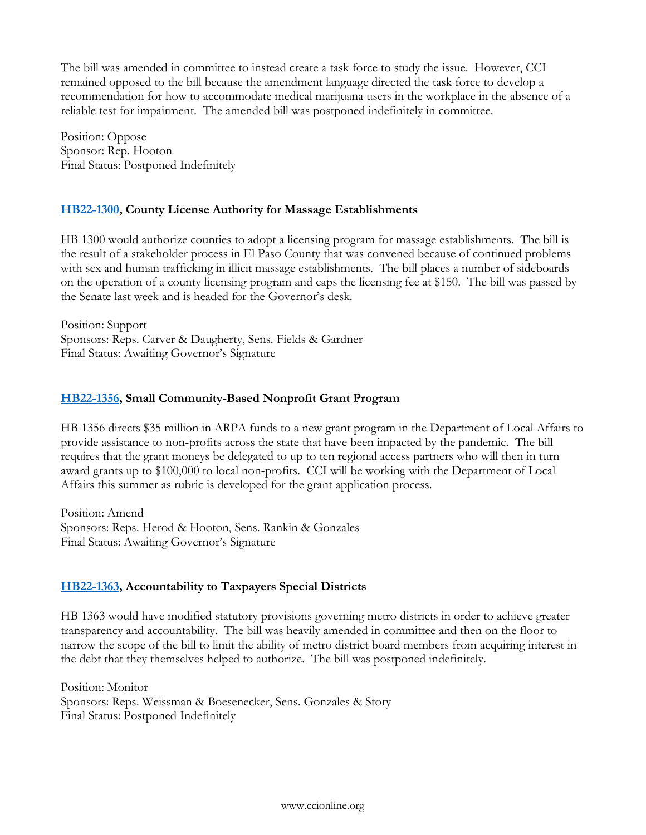The bill was amended in committee to instead create a task force to study the issue. However, CCI remained opposed to the bill because the amendment language directed the task force to develop a recommendation for how to accommodate medical marijuana users in the workplace in the absence of a reliable test for impairment. The amended bill was postponed indefinitely in committee.

Position: Oppose Sponsor: Rep. Hooton Final Status: Postponed Indefinitely

# **[HB22-1300,](https://leg.colorado.gov/bills/hb22-1300) County License Authority for Massage Establishments**

HB 1300 would authorize counties to adopt a licensing program for massage establishments. The bill is the result of a stakeholder process in El Paso County that was convened because of continued problems with sex and human trafficking in illicit massage establishments. The bill places a number of sideboards on the operation of a county licensing program and caps the licensing fee at \$150. The bill was passed by the Senate last week and is headed for the Governor's desk.

Position: Support Sponsors: Reps. Carver & Daugherty, Sens. Fields & Gardner Final Status: Awaiting Governor's Signature

# **[HB22-1356,](https://leg.colorado.gov/bills/hb22-1356) Small Community-Based Nonprofit Grant Program**

HB 1356 directs \$35 million in ARPA funds to a new grant program in the Department of Local Affairs to provide assistance to non-profits across the state that have been impacted by the pandemic. The bill requires that the grant moneys be delegated to up to ten regional access partners who will then in turn award grants up to \$100,000 to local non-profits. CCI will be working with the Department of Local Affairs this summer as rubric is developed for the grant application process.

Position: Amend Sponsors: Reps. Herod & Hooton, Sens. Rankin & Gonzales Final Status: Awaiting Governor's Signature

# **[HB22-1363,](https://leg.colorado.gov/bills/hb22-1363) Accountability to Taxpayers Special Districts**

HB 1363 would have modified statutory provisions governing metro districts in order to achieve greater transparency and accountability. The bill was heavily amended in committee and then on the floor to narrow the scope of the bill to limit the ability of metro district board members from acquiring interest in the debt that they themselves helped to authorize. The bill was postponed indefinitely.

Position: Monitor Sponsors: Reps. Weissman & Boesenecker, Sens. Gonzales & Story Final Status: Postponed Indefinitely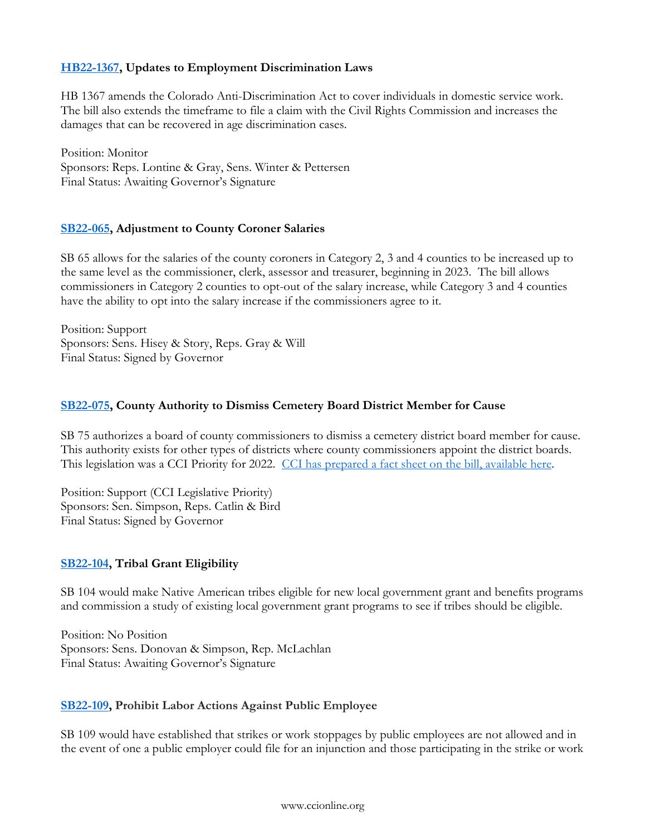# **[HB22-1367,](https://leg.colorado.gov/bills/hb22-1367) Updates to Employment Discrimination Laws**

HB 1367 amends the Colorado Anti-Discrimination Act to cover individuals in domestic service work. The bill also extends the timeframe to file a claim with the Civil Rights Commission and increases the damages that can be recovered in age discrimination cases.

Position: Monitor Sponsors: Reps. Lontine & Gray, Sens. Winter & Pettersen Final Status: Awaiting Governor's Signature

# **[SB22-065,](http://leg.colorado.gov/bills/sb22-065) Adjustment to County Coroner Salaries**

SB 65 allows for the salaries of the county coroners in Category 2, 3 and 4 counties to be increased up to the same level as the commissioner, clerk, assessor and treasurer, beginning in 2023. The bill allows commissioners in Category 2 counties to opt-out of the salary increase, while Category 3 and 4 counties have the ability to opt into the salary increase if the commissioners agree to it.

Position: Support Sponsors: Sens. Hisey & Story, Reps. Gray & Will Final Status: Signed by Governor

# **[SB22-075,](http://leg.colorado.gov/bills/sb22-075) County Authority to Dismiss Cemetery Board District Member for Cause**

SB 75 authorizes a board of county commissioners to dismiss a cemetery district board member for cause. This authority exists for other types of districts where county commissioners appoint the district boards. This legislation was a CCI Priority for 2022. [CCI has prepared a fact sheet on the bill, available here.](http://ccionline.org/download/2022_cci_legislation/FACT-SHEET-SB22-075-Cemetery-District-Board-Members.pdf)

Position: Support (CCI Legislative Priority) Sponsors: Sen. Simpson, Reps. Catlin & Bird Final Status: Signed by Governor

# **[SB22-104,](https://leg.colorado.gov/bills/sb22-104) Tribal Grant Eligibility**

SB 104 would make Native American tribes eligible for new local government grant and benefits programs and commission a study of existing local government grant programs to see if tribes should be eligible.

Position: No Position Sponsors: Sens. Donovan & Simpson, Rep. McLachlan Final Status: Awaiting Governor's Signature

# **[SB22-109,](https://leg.colorado.gov/bills/sb22-109) Prohibit Labor Actions Against Public Employee**

SB 109 would have established that strikes or work stoppages by public employees are not allowed and in the event of one a public employer could file for an injunction and those participating in the strike or work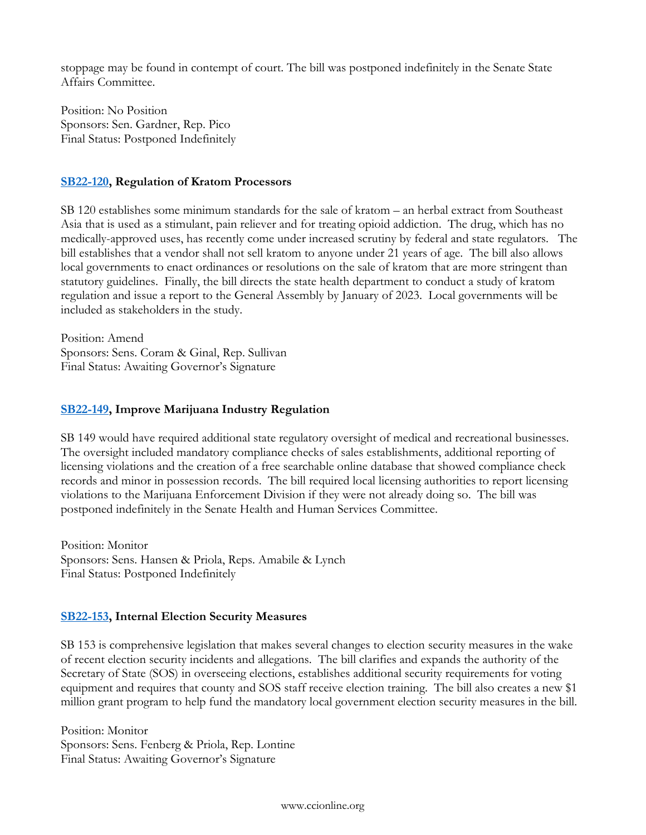stoppage may be found in contempt of court. The bill was postponed indefinitely in the Senate State Affairs Committee.

Position: No Position Sponsors: Sen. Gardner, Rep. Pico Final Status: Postponed Indefinitely

### **[SB22-120,](https://leg.colorado.gov/bills/sb22-120) Regulation of Kratom Processors**

SB 120 establishes some minimum standards for the sale of kratom – an herbal extract from Southeast Asia that is used as a stimulant, pain reliever and for treating opioid addiction. The drug, which has no medically-approved uses, has recently come under increased scrutiny by federal and state regulators. The bill establishes that a vendor shall not sell kratom to anyone under 21 years of age. The bill also allows local governments to enact ordinances or resolutions on the sale of kratom that are more stringent than statutory guidelines. Finally, the bill directs the state health department to conduct a study of kratom regulation and issue a report to the General Assembly by January of 2023. Local governments will be included as stakeholders in the study.

Position: Amend Sponsors: Sens. Coram & Ginal, Rep. Sullivan Final Status: Awaiting Governor's Signature

### **[SB22-149,](https://leg.colorado.gov/bills/sb22-149) Improve Marijuana Industry Regulation**

SB 149 would have required additional state regulatory oversight of medical and recreational businesses. The oversight included mandatory compliance checks of sales establishments, additional reporting of licensing violations and the creation of a free searchable online database that showed compliance check records and minor in possession records. The bill required local licensing authorities to report licensing violations to the Marijuana Enforcement Division if they were not already doing so. The bill was postponed indefinitely in the Senate Health and Human Services Committee.

Position: Monitor Sponsors: Sens. Hansen & Priola, Reps. Amabile & Lynch Final Status: Postponed Indefinitely

# **[SB22-153,](https://leg.colorado.gov/bills/sb22-153) Internal Election Security Measures**

SB 153 is comprehensive legislation that makes several changes to election security measures in the wake of recent election security incidents and allegations. The bill clarifies and expands the authority of the Secretary of State (SOS) in overseeing elections, establishes additional security requirements for voting equipment and requires that county and SOS staff receive election training. The bill also creates a new \$1 million grant program to help fund the mandatory local government election security measures in the bill.

Position: Monitor Sponsors: Sens. Fenberg & Priola, Rep. Lontine Final Status: Awaiting Governor's Signature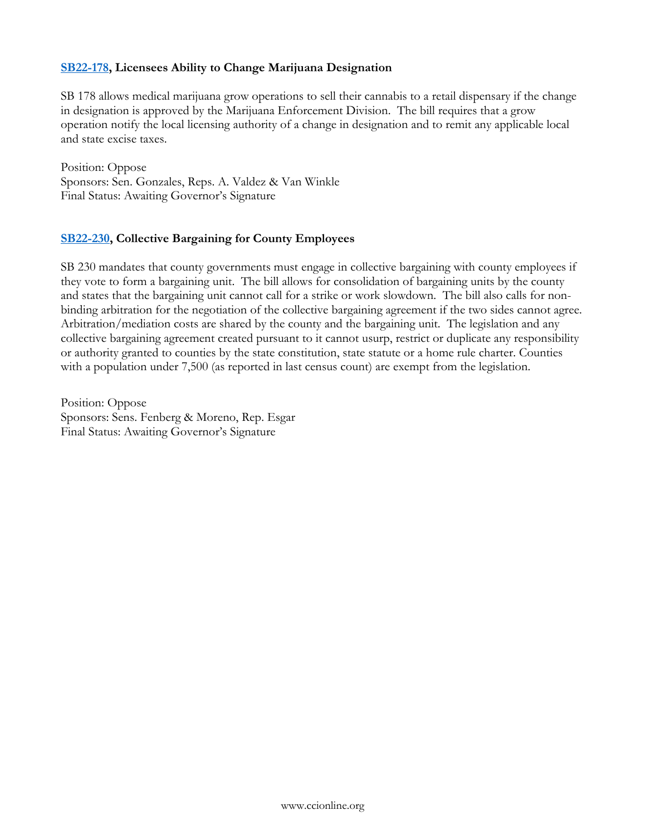### **[SB22-178,](https://leg.colorado.gov/bills/sb22-178) Licensees Ability to Change Marijuana Designation**

SB 178 allows medical marijuana grow operations to sell their cannabis to a retail dispensary if the change in designation is approved by the Marijuana Enforcement Division. The bill requires that a grow operation notify the local licensing authority of a change in designation and to remit any applicable local and state excise taxes.

Position: Oppose Sponsors: Sen. Gonzales, Reps. A. Valdez & Van Winkle Final Status: Awaiting Governor's Signature

### **[SB22-230,](https://leg.colorado.gov/bills/sb22-230) Collective Bargaining for County Employees**

SB 230 mandates that county governments must engage in collective bargaining with county employees if they vote to form a bargaining unit. The bill allows for consolidation of bargaining units by the county and states that the bargaining unit cannot call for a strike or work slowdown. The bill also calls for nonbinding arbitration for the negotiation of the collective bargaining agreement if the two sides cannot agree. Arbitration/mediation costs are shared by the county and the bargaining unit. The legislation and any collective bargaining agreement created pursuant to it cannot usurp, restrict or duplicate any responsibility or authority granted to counties by the state constitution, state statute or a home rule charter. Counties with a population under 7,500 (as reported in last census count) are exempt from the legislation.

Position: Oppose Sponsors: Sens. Fenberg & Moreno, Rep. Esgar Final Status: Awaiting Governor's Signature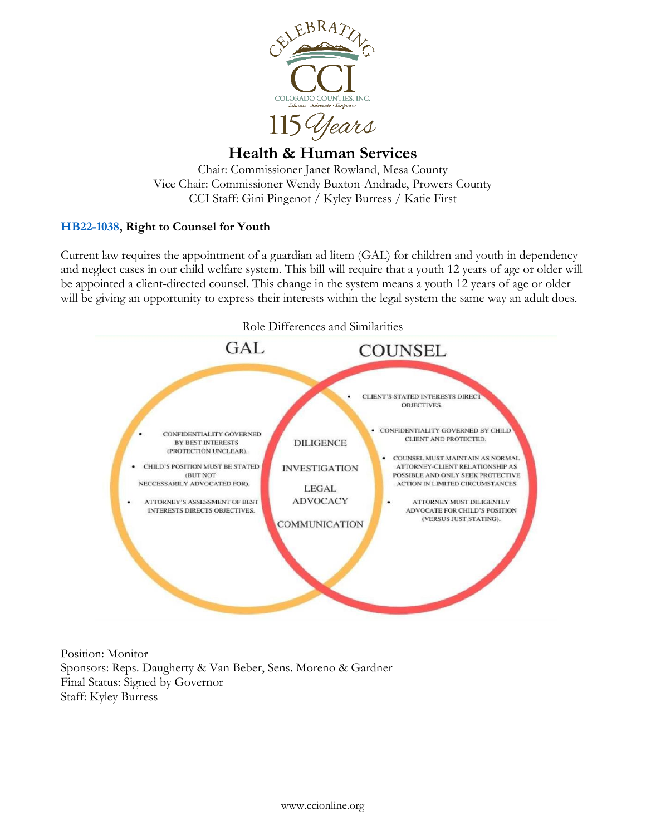

# <span id="page-8-0"></span>**Health & Human Services**

Chair: Commissioner Janet Rowland, Mesa County Vice Chair: Commissioner Wendy Buxton-Andrade, Prowers County CCI Staff: Gini Pingenot / Kyley Burress / Katie First

# **[HB22-1038,](https://leg.colorado.gov/bills/hb22-1038) Right to Counsel for Youth**

Current law requires the appointment of a guardian ad litem (GAL) for children and youth in dependency and neglect cases in our child welfare system. This bill will require that a youth 12 years of age or older will be appointed a client-directed counsel. This change in the system means a youth 12 years of age or older will be giving an opportunity to express their interests within the legal system the same way an adult does.



Position: Monitor Sponsors: Reps. Daugherty & Van Beber, Sens. Moreno & Gardner Final Status: Signed by Governor Staff: Kyley Burress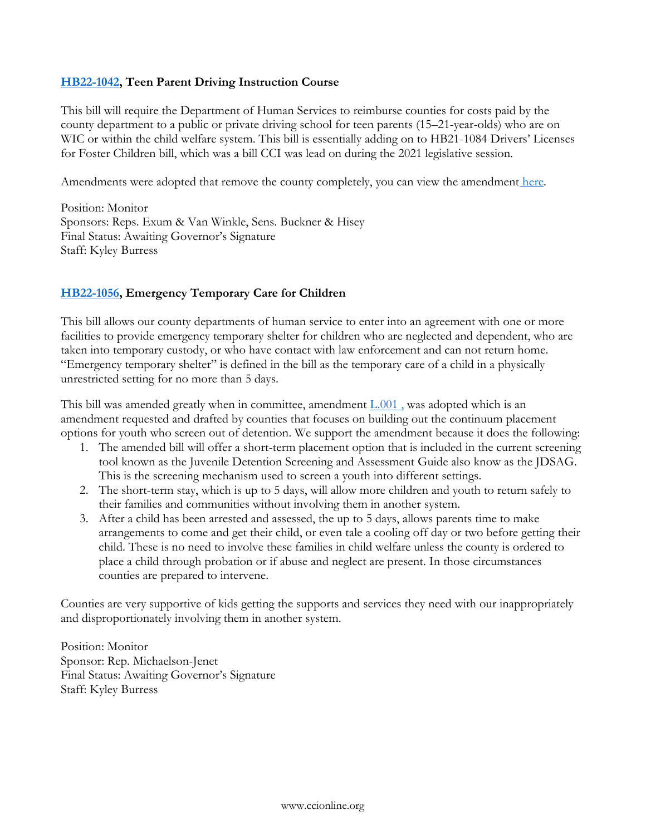### **[HB22-1042,](https://leg.colorado.gov/bills/hb22-1042) Teen Parent Driving Instruction Course**

This bill will require the Department of Human Services to reimburse counties for costs paid by the county department to a public or private driving school for teen parents (15–21-year-olds) who are on WIC or within the child welfare system. This bill is essentially adding on to HB21-1084 Drivers' Licenses for Foster Children bill, which was a bill CCI was lead on during the 2021 legislative session.

Amendments were adopted that remove the county completely, you can view the amendment [here.](https://s3-us-west-2.amazonaws.com/leg.colorado.gov/2022A/amendments/HB1042_L.001.pdf)

Position: Monitor Sponsors: Reps. Exum & Van Winkle, Sens. Buckner & Hisey Final Status: Awaiting Governor's Signature Staff: Kyley Burress

# **[HB22-1056,](https://leg.colorado.gov/bills/hb22-1056) Emergency Temporary Care for Children**

This bill allows our county departments of human service to enter into an agreement with one or more facilities to provide emergency temporary shelter for children who are neglected and dependent, who are taken into temporary custody, or who have contact with law enforcement and can not return home. "Emergency temporary shelter" is defined in the bill as the temporary care of a child in a physically unrestricted setting for no more than 5 days.

This bill was amended greatly when in committee, amendment  $L.001$ , was adopted which is an amendment requested and drafted by counties that focuses on building out the continuum placement options for youth who screen out of detention. We support the amendment because it does the following:

- 1. The amended bill will offer a short-term placement option that is included in the current screening tool known as the Juvenile Detention Screening and Assessment Guide also know as the JDSAG. This is the screening mechanism used to screen a youth into different settings.
- 2. The short-term stay, which is up to 5 days, will allow more children and youth to return safely to their families and communities without involving them in another system.
- 3. After a child has been arrested and assessed, the up to 5 days, allows parents time to make arrangements to come and get their child, or even tale a cooling off day or two before getting their child. These is no need to involve these families in child welfare unless the county is ordered to place a child through probation or if abuse and neglect are present. In those circumstances counties are prepared to intervene.

Counties are very supportive of kids getting the supports and services they need with our inappropriately and disproportionately involving them in another system.

Position: Monitor Sponsor: Rep. Michaelson-Jenet Final Status: Awaiting Governor's Signature Staff: Kyley Burress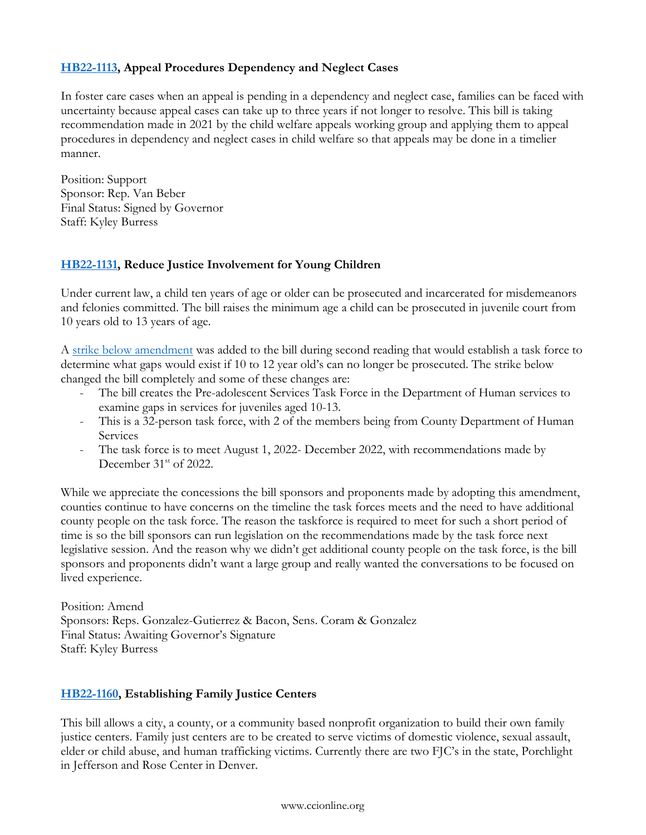# **[HB22-1113,](https://leg.colorado.gov/bills/hb22-1113) Appeal Procedures Dependency and Neglect Cases**

In foster care cases when an appeal is pending in a dependency and neglect case, families can be faced with uncertainty because appeal cases can take up to three years if not longer to resolve. This bill is taking recommendation made in 2021 by the child welfare appeals working group and applying them to appeal procedures in dependency and neglect cases in child welfare so that appeals may be done in a timelier manner.

Position: Support Sponsor: Rep. Van Beber Final Status: Signed by Governor Staff: Kyley Burress

# **[HB22-1131,](https://leg.colorado.gov/bills/hb22-1131) Reduce Justice Involvement for Young Children**

Under current law, a child ten years of age or older can be prosecuted and incarcerated for misdemeanors and felonies committed. The bill raises the minimum age a child can be prosecuted in juvenile court from 10 years old to 13 years of age.

A [strike below amendment](https://s3-us-west-2.amazonaws.com/leg.colorado.gov/2022A/amendments/HB1131_L.027.pdf) was added to the bill during second reading that would establish a task force to determine what gaps would exist if 10 to 12 year old's can no longer be prosecuted. The strike below changed the bill completely and some of these changes are:

- The bill creates the Pre-adolescent Services Task Force in the Department of Human services to examine gaps in services for juveniles aged 10-13.
- This is a 32-person task force, with 2 of the members being from County Department of Human Services
- The task force is to meet August 1, 2022- December 2022, with recommendations made by December 31<sup>st</sup> of 2022.

While we appreciate the concessions the bill sponsors and proponents made by adopting this amendment, counties continue to have concerns on the timeline the task forces meets and the need to have additional county people on the task force. The reason the taskforce is required to meet for such a short period of time is so the bill sponsors can run legislation on the recommendations made by the task force next legislative session. And the reason why we didn't get additional county people on the task force, is the bill sponsors and proponents didn't want a large group and really wanted the conversations to be focused on lived experience.

Position: Amend Sponsors: Reps. Gonzalez-Gutierrez & Bacon, Sens. Coram & Gonzalez Final Status: Awaiting Governor's Signature Staff: Kyley Burress

# **[HB22-1160,](https://leg.colorado.gov/bills/hb22-1160) Establishing Family Justice Centers**

This bill allows a city, a county, or a community based nonprofit organization to build their own family justice centers. Family just centers are to be created to serve victims of domestic violence, sexual assault, elder or child abuse, and human trafficking victims. Currently there are two FJC's in the state, Porchlight in Jefferson and Rose Center in Denver.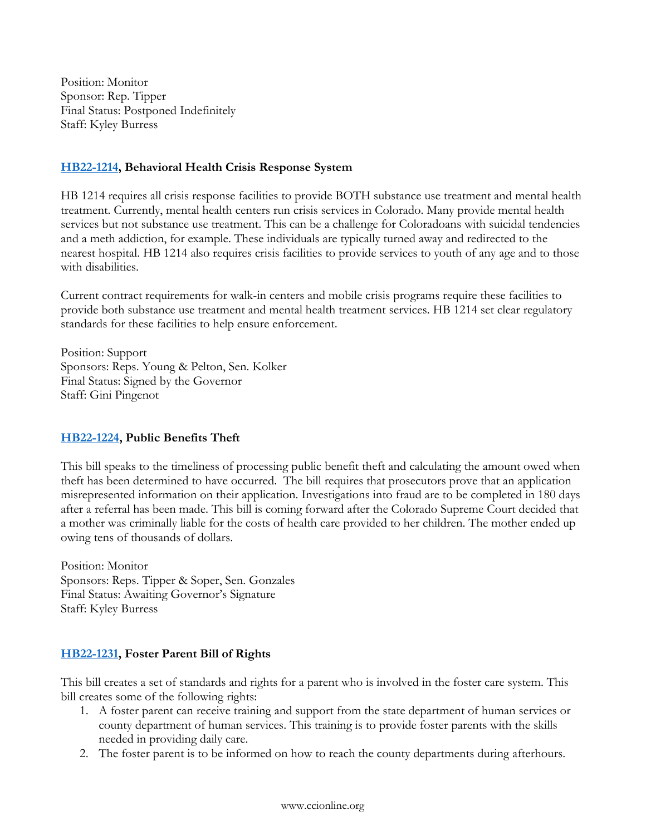Position: Monitor Sponsor: Rep. Tipper Final Status: Postponed Indefinitely Staff: Kyley Burress

### **[HB22-1214,](https://leg.colorado.gov/bills/hb22-1214) Behavioral Health Crisis Response System**

HB 1214 requires all crisis response facilities to provide BOTH substance use treatment and mental health treatment. Currently, mental health centers run crisis services in Colorado. Many provide mental health services but not substance use treatment. This can be a challenge for Coloradoans with suicidal tendencies and a meth addiction, for example. These individuals are typically turned away and redirected to the nearest hospital. HB 1214 also requires crisis facilities to provide services to youth of any age and to those with disabilities.

Current contract requirements for walk-in centers and mobile crisis programs require these facilities to provide both substance use treatment and mental health treatment services. HB 1214 set clear regulatory standards for these facilities to help ensure enforcement.

Position: Support Sponsors: Reps. Young & Pelton, Sen. Kolker Final Status: Signed by the Governor Staff: Gini Pingenot

# **[HB22-1224,](https://leg.colorado.gov/bills/hb22-1224) Public Benefits Theft**

This bill speaks to the timeliness of processing public benefit theft and calculating the amount owed when theft has been determined to have occurred. The bill requires that prosecutors prove that an application misrepresented information on their application. Investigations into fraud are to be completed in 180 days after a referral has been made. This bill is coming forward after the Colorado Supreme Court decided that a mother was criminally liable for the costs of health care provided to her children. The mother ended up owing tens of thousands of dollars.

Position: Monitor Sponsors: Reps. Tipper & Soper, Sen. Gonzales Final Status: Awaiting Governor's Signature Staff: Kyley Burress

# **[HB22-1231,](https://leg.colorado.gov/bills/hb22-1231) Foster Parent Bill of Rights**

This bill creates a set of standards and rights for a parent who is involved in the foster care system. This bill creates some of the following rights:

- 1. A foster parent can receive training and support from the state department of human services or county department of human services. This training is to provide foster parents with the skills needed in providing daily care.
- 2. The foster parent is to be informed on how to reach the county departments during afterhours.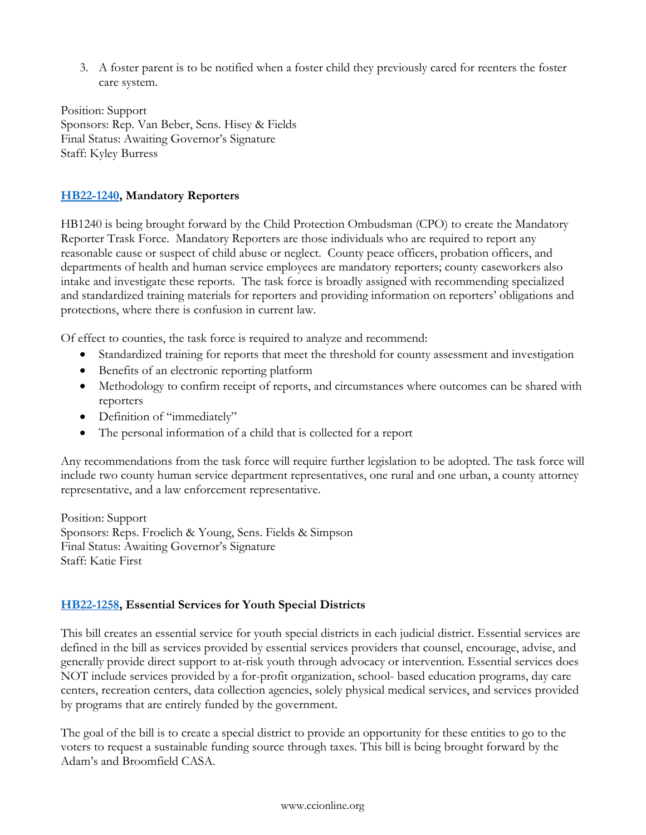3. A foster parent is to be notified when a foster child they previously cared for reenters the foster care system.

Position: Support Sponsors: Rep. Van Beber, Sens. Hisey & Fields Final Status: Awaiting Governor's Signature Staff: Kyley Burress

# **[HB22-1240,](https://leg.colorado.gov/bills/hb22-1240) Mandatory Reporters**

HB1240 is being brought forward by the Child Protection Ombudsman (CPO) to create the Mandatory Reporter Trask Force. Mandatory Reporters are those individuals who are required to report any reasonable cause or suspect of child abuse or neglect. County peace officers, probation officers, and departments of health and human service employees are mandatory reporters; county caseworkers also intake and investigate these reports. The task force is broadly assigned with recommending specialized and standardized training materials for reporters and providing information on reporters' obligations and protections, where there is confusion in current law.

Of effect to counties, the task force is required to analyze and recommend:

- Standardized training for reports that meet the threshold for county assessment and investigation
- Benefits of an electronic reporting platform
- Methodology to confirm receipt of reports, and circumstances where outcomes can be shared with reporters
- Definition of "immediately"
- The personal information of a child that is collected for a report

Any recommendations from the task force will require further legislation to be adopted. The task force will include two county human service department representatives, one rural and one urban, a county attorney representative, and a law enforcement representative.

Position: Support Sponsors: Reps. Froelich & Young, Sens. Fields & Simpson Final Status: Awaiting Governor's Signature Staff: Katie First

# **[HB22-1258,](https://leg.colorado.gov/bills/hb22-1258) Essential Services for Youth Special Districts**

This bill creates an essential service for youth special districts in each judicial district. Essential services are defined in the bill as services provided by essential services providers that counsel, encourage, advise, and generally provide direct support to at-risk youth through advocacy or intervention. Essential services does NOT include services provided by a for-profit organization, school- based education programs, day care centers, recreation centers, data collection agencies, solely physical medical services, and services provided by programs that are entirely funded by the government.

The goal of the bill is to create a special district to provide an opportunity for these entities to go to the voters to request a sustainable funding source through taxes. This bill is being brought forward by the Adam's and Broomfield CASA.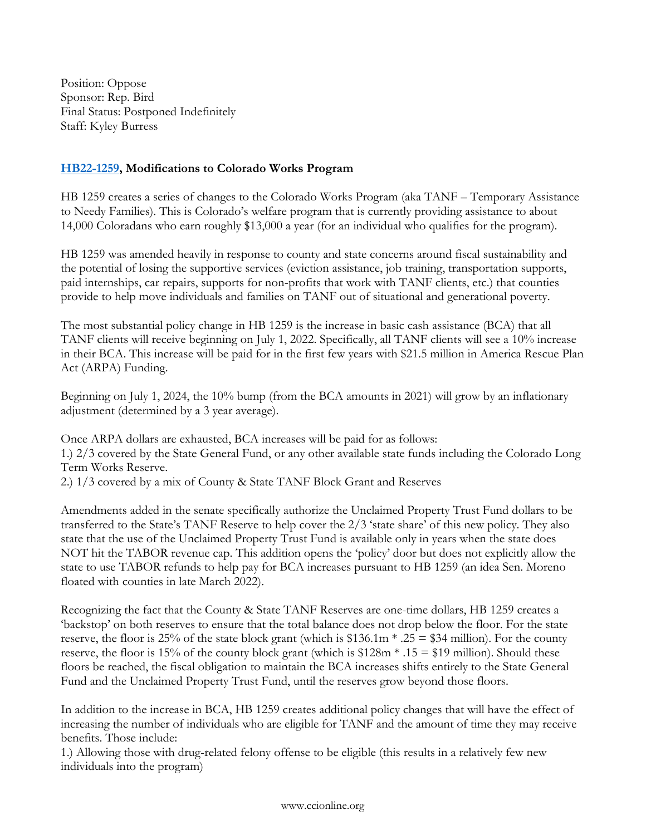Position: Oppose Sponsor: Rep. Bird Final Status: Postponed Indefinitely Staff: Kyley Burress

# **[HB22-1259,](https://leg.colorado.gov/bills/hb22-1259) Modifications to Colorado Works Program**

HB 1259 creates a series of changes to the Colorado Works Program (aka TANF – Temporary Assistance to Needy Families). This is Colorado's welfare program that is currently providing assistance to about 14,000 Coloradans who earn roughly \$13,000 a year (for an individual who qualifies for the program).

HB 1259 was amended heavily in response to county and state concerns around fiscal sustainability and the potential of losing the supportive services (eviction assistance, job training, transportation supports, paid internships, car repairs, supports for non-profits that work with TANF clients, etc.) that counties provide to help move individuals and families on TANF out of situational and generational poverty.

The most substantial policy change in HB 1259 is the increase in basic cash assistance (BCA) that all TANF clients will receive beginning on July 1, 2022. Specifically, all TANF clients will see a 10% increase in their BCA. This increase will be paid for in the first few years with \$21.5 million in America Rescue Plan Act (ARPA) Funding.

Beginning on July 1, 2024, the 10% bump (from the BCA amounts in 2021) will grow by an inflationary adjustment (determined by a 3 year average).

Once ARPA dollars are exhausted, BCA increases will be paid for as follows:

1.) 2/3 covered by the State General Fund, or any other available state funds including the Colorado Long Term Works Reserve.

2.) 1/3 covered by a mix of County & State TANF Block Grant and Reserves

Amendments added in the senate specifically authorize the Unclaimed Property Trust Fund dollars to be transferred to the State's TANF Reserve to help cover the 2/3 'state share' of this new policy. They also state that the use of the Unclaimed Property Trust Fund is available only in years when the state does NOT hit the TABOR revenue cap. This addition opens the 'policy' door but does not explicitly allow the state to use TABOR refunds to help pay for BCA increases pursuant to HB 1259 (an idea Sen. Moreno floated with counties in late March 2022).

Recognizing the fact that the County & State TANF Reserves are one-time dollars, HB 1259 creates a 'backstop' on both reserves to ensure that the total balance does not drop below the floor. For the state reserve, the floor is 25% of the state block grant (which is \$136.1m  $*$  .25 = \$34 million). For the county reserve, the floor is 15% of the county block grant (which is  $$128m * .15 = $19$  million). Should these floors be reached, the fiscal obligation to maintain the BCA increases shifts entirely to the State General Fund and the Unclaimed Property Trust Fund, until the reserves grow beyond those floors.

In addition to the increase in BCA, HB 1259 creates additional policy changes that will have the effect of increasing the number of individuals who are eligible for TANF and the amount of time they may receive benefits. Those include:

1.) Allowing those with drug-related felony offense to be eligible (this results in a relatively few new individuals into the program)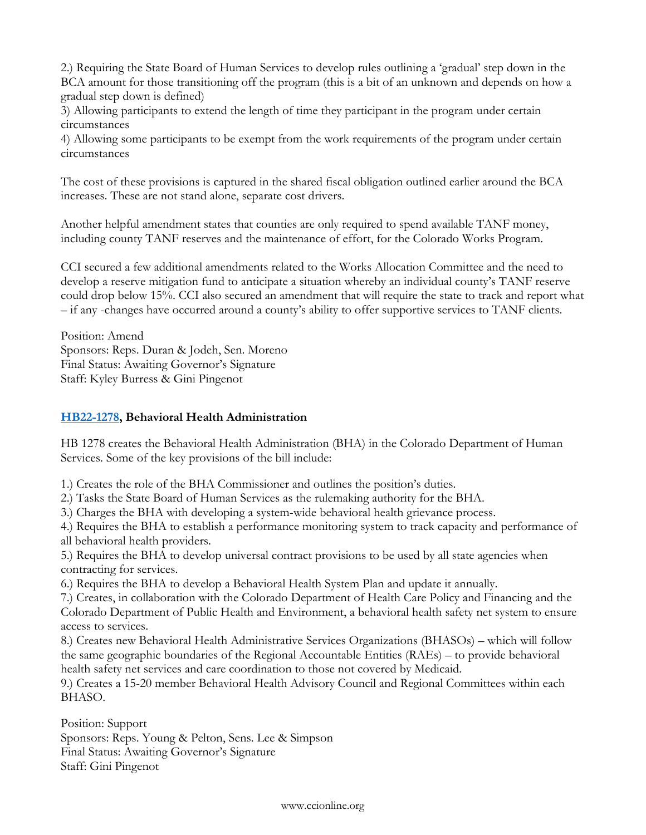2.) Requiring the State Board of Human Services to develop rules outlining a 'gradual' step down in the BCA amount for those transitioning off the program (this is a bit of an unknown and depends on how a gradual step down is defined)

3) Allowing participants to extend the length of time they participant in the program under certain circumstances

4) Allowing some participants to be exempt from the work requirements of the program under certain circumstances

The cost of these provisions is captured in the shared fiscal obligation outlined earlier around the BCA increases. These are not stand alone, separate cost drivers.

Another helpful amendment states that counties are only required to spend available TANF money, including county TANF reserves and the maintenance of effort, for the Colorado Works Program.

CCI secured a few additional amendments related to the Works Allocation Committee and the need to develop a reserve mitigation fund to anticipate a situation whereby an individual county's TANF reserve could drop below 15%. CCI also secured an amendment that will require the state to track and report what – if any -changes have occurred around a county's ability to offer supportive services to TANF clients.

Position: Amend Sponsors: Reps. Duran & Jodeh, Sen. Moreno Final Status: Awaiting Governor's Signature Staff: Kyley Burress & Gini Pingenot

# **[HB22-1278,](https://leg.colorado.gov/bills/hb22-1278) Behavioral Health Administration**

HB 1278 creates the Behavioral Health Administration (BHA) in the Colorado Department of Human Services. Some of the key provisions of the bill include:

1.) Creates the role of the BHA Commissioner and outlines the position's duties.

2.) Tasks the State Board of Human Services as the rulemaking authority for the BHA.

3.) Charges the BHA with developing a system-wide behavioral health grievance process.

4.) Requires the BHA to establish a performance monitoring system to track capacity and performance of all behavioral health providers.

5.) Requires the BHA to develop universal contract provisions to be used by all state agencies when contracting for services.

6.) Requires the BHA to develop a Behavioral Health System Plan and update it annually.

7.) Creates, in collaboration with the Colorado Department of Health Care Policy and Financing and the Colorado Department of Public Health and Environment, a behavioral health safety net system to ensure access to services.

8.) Creates new Behavioral Health Administrative Services Organizations (BHASOs) – which will follow the same geographic boundaries of the Regional Accountable Entities (RAEs) – to provide behavioral health safety net services and care coordination to those not covered by Medicaid.

9.) Creates a 15-20 member Behavioral Health Advisory Council and Regional Committees within each BHASO.

Position: Support Sponsors: Reps. Young & Pelton, Sens. Lee & Simpson Final Status: Awaiting Governor's Signature Staff: Gini Pingenot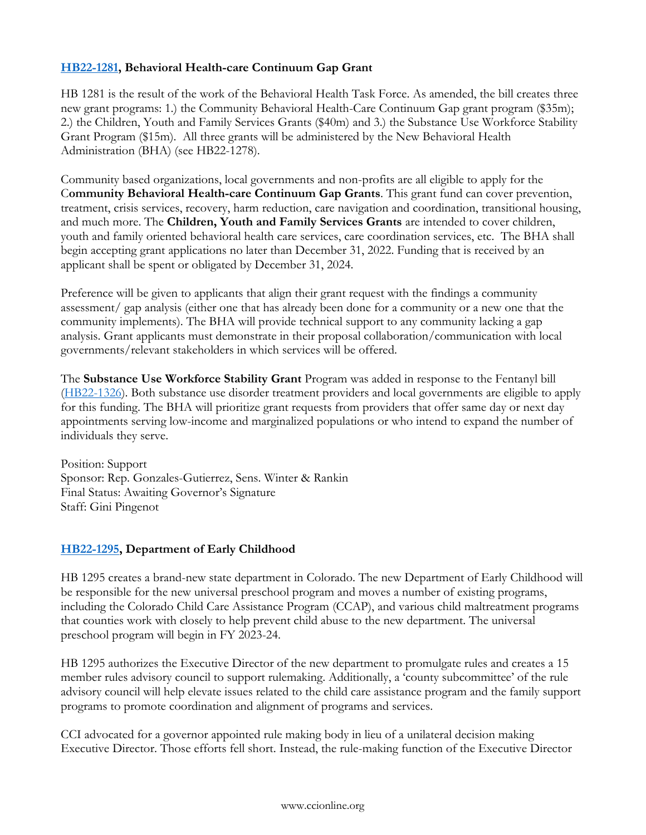# **[HB22-1281,](https://leg.colorado.gov/bills/hb22-1281) Behavioral Health-care Continuum Gap Grant**

HB 1281 is the result of the work of the Behavioral Health Task Force. As amended, the bill creates three new grant programs: 1.) the Community Behavioral Health-Care Continuum Gap grant program (\$35m); 2.) the Children, Youth and Family Services Grants (\$40m) and 3.) the Substance Use Workforce Stability Grant Program (\$15m). All three grants will be administered by the New Behavioral Health Administration (BHA) (see HB22-1278).

Community based organizations, local governments and non-profits are all eligible to apply for the C**ommunity Behavioral Health-care Continuum Gap Grants**. This grant fund can cover prevention, treatment, crisis services, recovery, harm reduction, care navigation and coordination, transitional housing, and much more. The **Children, Youth and Family Services Grants** are intended to cover children, youth and family oriented behavioral health care services, care coordination services, etc. The BHA shall begin accepting grant applications no later than December 31, 2022. Funding that is received by an applicant shall be spent or obligated by December 31, 2024.

Preference will be given to applicants that align their grant request with the findings a community assessment/ gap analysis (either one that has already been done for a community or a new one that the community implements). The BHA will provide technical support to any community lacking a gap analysis. Grant applicants must demonstrate in their proposal collaboration/communication with local governments/relevant stakeholders in which services will be offered.

The **Substance Use Workforce Stability Grant** Program was added in response to the Fentanyl bill [\(HB22-1326\)](https://leg.colorado.gov/bills/hb22-1326). Both substance use disorder treatment providers and local governments are eligible to apply for this funding. The BHA will prioritize grant requests from providers that offer same day or next day appointments serving low-income and marginalized populations or who intend to expand the number of individuals they serve.

Position: Support Sponsor: Rep. Gonzales-Gutierrez, Sens. Winter & Rankin Final Status: Awaiting Governor's Signature Staff: Gini Pingenot

# **[HB22-1295,](https://leg.colorado.gov/bills/hb22-1295) Department of Early Childhood**

HB 1295 creates a brand-new state department in Colorado. The new Department of Early Childhood will be responsible for the new universal preschool program and moves a number of existing programs, including the Colorado Child Care Assistance Program (CCAP), and various child maltreatment programs that counties work with closely to help prevent child abuse to the new department. The universal preschool program will begin in FY 2023-24.

HB 1295 authorizes the Executive Director of the new department to promulgate rules and creates a 15 member rules advisory council to support rulemaking. Additionally, a 'county subcommittee' of the rule advisory council will help elevate issues related to the child care assistance program and the family support programs to promote coordination and alignment of programs and services.

CCI advocated for a governor appointed rule making body in lieu of a unilateral decision making Executive Director. Those efforts fell short. Instead, the rule-making function of the Executive Director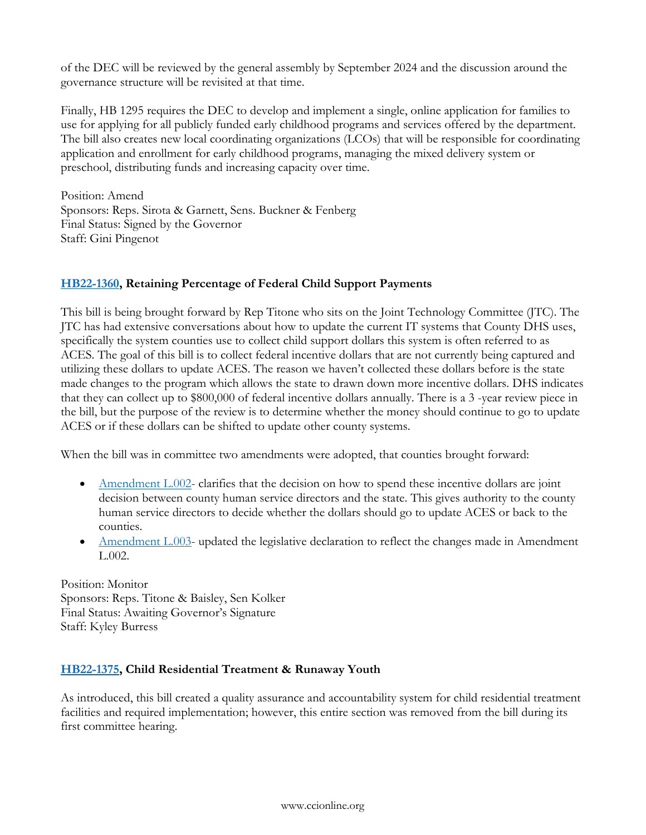of the DEC will be reviewed by the general assembly by September 2024 and the discussion around the governance structure will be revisited at that time.

Finally, HB 1295 requires the DEC to develop and implement a single, online application for families to use for applying for all publicly funded early childhood programs and services offered by the department. The bill also creates new local coordinating organizations (LCOs) that will be responsible for coordinating application and enrollment for early childhood programs, managing the mixed delivery system or preschool, distributing funds and increasing capacity over time.

Position: Amend Sponsors: Reps. Sirota & Garnett, Sens. Buckner & Fenberg Final Status: Signed by the Governor Staff: Gini Pingenot

# **[HB22-1360,](https://leg.colorado.gov/bills/hb22-1360) Retaining Percentage of Federal Child Support Payments**

This bill is being brought forward by Rep Titone who sits on the Joint Technology Committee (JTC). The JTC has had extensive conversations about how to update the current IT systems that County DHS uses, specifically the system counties use to collect child support dollars this system is often referred to as ACES. The goal of this bill is to collect federal incentive dollars that are not currently being captured and utilizing these dollars to update ACES. The reason we haven't collected these dollars before is the state made changes to the program which allows the state to drawn down more incentive dollars. DHS indicates that they can collect up to \$800,000 of federal incentive dollars annually. There is a 3 -year review piece in the bill, but the purpose of the review is to determine whether the money should continue to go to update ACES or if these dollars can be shifted to update other county systems.

When the bill was in committee two amendments were adopted, that counties brought forward:

- [Amendment L.002-](https://gcc02.safelinks.protection.outlook.com/?url=https%3A%2F%2Fs3-us-west-2.amazonaws.com%2Fleg.colorado.gov%2F2022A%2Famendments%2FHB1360_L.002.pdf&data=05%7C01%7CCTernes%40arapahoegov.com%7Cb14a17de32ed417f148108da2961bb5f%7C57d7b626d71d47f684c1c43bda19ba16%7C0%7C0%7C637867797506247158%7CUnknown%7CTWFpbGZsb3d8eyJWIjoiMC4wLjAwMDAiLCJQIjoiV2luMzIiLCJBTiI6Ik1haWwiLCJXVCI6Mn0%3D%7C2000%7C%7C%7C&sdata=XTswnPX1Uyo%2BXoYqj%2FRkFnh%2Bqtl3FfrKAmG9Q4wE360%3D&reserved=0) clarifies that the decision on how to spend these incentive dollars are joint decision between county human service directors and the state. This gives authority to the county human service directors to decide whether the dollars should go to update ACES or back to the counties.
- [Amendment L.003-](https://gcc02.safelinks.protection.outlook.com/?url=https%3A%2F%2Fs3-us-west-2.amazonaws.com%2Fleg.colorado.gov%2F2022A%2Famendments%2FHB1360_L.003.pdf&data=05%7C01%7CCTernes%40arapahoegov.com%7Cb14a17de32ed417f148108da2961bb5f%7C57d7b626d71d47f684c1c43bda19ba16%7C0%7C0%7C637867797506247158%7CUnknown%7CTWFpbGZsb3d8eyJWIjoiMC4wLjAwMDAiLCJQIjoiV2luMzIiLCJBTiI6Ik1haWwiLCJXVCI6Mn0%3D%7C2000%7C%7C%7C&sdata=u6H83p04DHtlI20BkELTfvxG6fTWYblz2tZn%2BPmoeqU%3D&reserved=0) updated the legislative declaration to reflect the changes made in Amendment L.002.

Position: Monitor Sponsors: Reps. Titone & Baisley, Sen Kolker Final Status: Awaiting Governor's Signature Staff: Kyley Burress

# **[HB22-1375,](https://leg.colorado.gov/bills/hb22-1375) Child Residential Treatment & Runaway Youth**

As introduced, this bill created a quality assurance and accountability system for child residential treatment facilities and required implementation; however, this entire section was removed from the bill during its first committee hearing.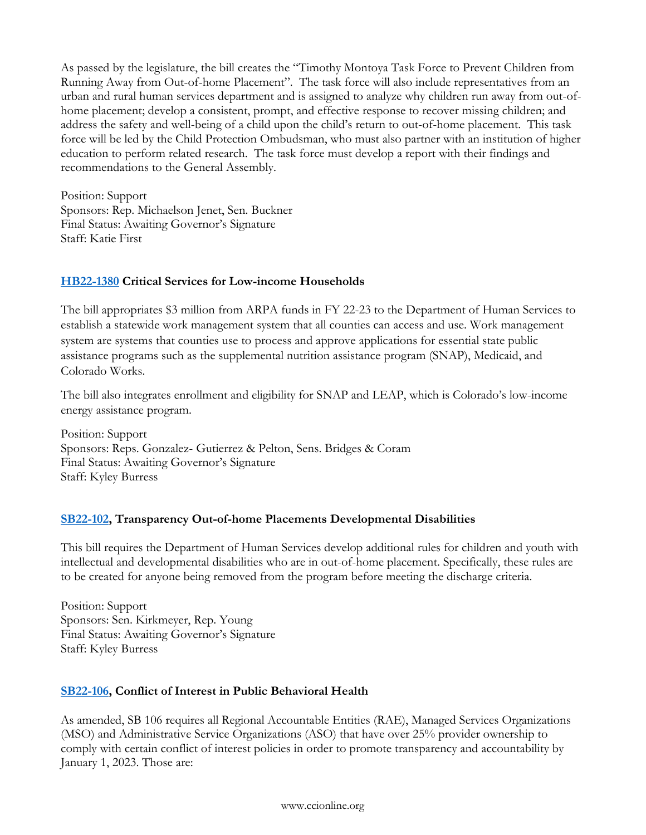As passed by the legislature, the bill creates the "Timothy Montoya Task Force to Prevent Children from Running Away from Out-of-home Placement". The task force will also include representatives from an urban and rural human services department and is assigned to analyze why children run away from out-ofhome placement; develop a consistent, prompt, and effective response to recover missing children; and address the safety and well-being of a child upon the child's return to out-of-home placement. This task force will be led by the Child Protection Ombudsman, who must also partner with an institution of higher education to perform related research. The task force must develop a report with their findings and recommendations to the General Assembly.

Position: Support Sponsors: Rep. Michaelson Jenet, Sen. Buckner Final Status: Awaiting Governor's Signature Staff: Katie First

# **[HB22-1380](https://leg.colorado.gov/bills/hb22-1380) Critical Services for Low-income Households**

The bill appropriates \$3 million from ARPA funds in FY 22-23 to the Department of Human Services to establish a statewide work management system that all counties can access and use. Work management system are systems that counties use to process and approve applications for essential state public assistance programs such as the supplemental nutrition assistance program (SNAP), Medicaid, and Colorado Works.

The bill also integrates enrollment and eligibility for SNAP and LEAP, which is Colorado's low-income energy assistance program.

Position: Support Sponsors: Reps. Gonzalez- Gutierrez & Pelton, Sens. Bridges & Coram Final Status: Awaiting Governor's Signature Staff: Kyley Burress

# **[SB22-102,](https://leg.colorado.gov/bills/sb22-102) Transparency Out-of-home Placements Developmental Disabilities**

This bill requires the Department of Human Services develop additional rules for children and youth with intellectual and developmental disabilities who are in out-of-home placement. Specifically, these rules are to be created for anyone being removed from the program before meeting the discharge criteria.

Position: Support Sponsors: Sen. Kirkmeyer, Rep. Young Final Status: Awaiting Governor's Signature Staff: Kyley Burress

# **[SB22-106,](https://leg.colorado.gov/bills/sb22-106) Conflict of Interest in Public Behavioral Health**

As amended, SB 106 requires all Regional Accountable Entities (RAE), Managed Services Organizations (MSO) and Administrative Service Organizations (ASO) that have over 25% provider ownership to comply with certain conflict of interest policies in order to promote transparency and accountability by January 1, 2023. Those are: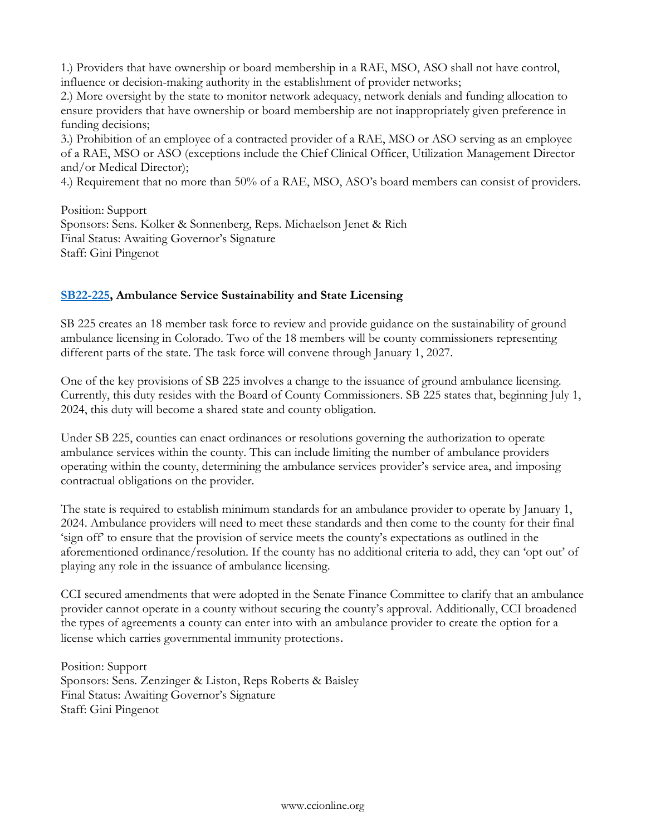1.) Providers that have ownership or board membership in a RAE, MSO, ASO shall not have control, influence or decision-making authority in the establishment of provider networks;

2.) More oversight by the state to monitor network adequacy, network denials and funding allocation to ensure providers that have ownership or board membership are not inappropriately given preference in funding decisions;

3.) Prohibition of an employee of a contracted provider of a RAE, MSO or ASO serving as an employee of a RAE, MSO or ASO (exceptions include the Chief Clinical Officer, Utilization Management Director and/or Medical Director);

4.) Requirement that no more than 50% of a RAE, MSO, ASO's board members can consist of providers.

Position: Support Sponsors: Sens. Kolker & Sonnenberg, Reps. Michaelson Jenet & Rich Final Status: Awaiting Governor's Signature Staff: Gini Pingenot

# **[SB22-225,](https://leg.colorado.gov/bills/sb22-225) Ambulance Service Sustainability and State Licensing**

SB 225 creates an 18 member task force to review and provide guidance on the sustainability of ground ambulance licensing in Colorado. Two of the 18 members will be county commissioners representing different parts of the state. The task force will convene through January 1, 2027.

One of the key provisions of SB 225 involves a change to the issuance of ground ambulance licensing. Currently, this duty resides with the Board of County Commissioners. SB 225 states that, beginning July 1, 2024, this duty will become a shared state and county obligation.

Under SB 225, counties can enact ordinances or resolutions governing the authorization to operate ambulance services within the county. This can include limiting the number of ambulance providers operating within the county, determining the ambulance services provider's service area, and imposing contractual obligations on the provider.

The state is required to establish minimum standards for an ambulance provider to operate by January 1, 2024. Ambulance providers will need to meet these standards and then come to the county for their final 'sign off' to ensure that the provision of service meets the county's expectations as outlined in the aforementioned ordinance/resolution. If the county has no additional criteria to add, they can 'opt out' of playing any role in the issuance of ambulance licensing.

CCI secured amendments that were adopted in the Senate Finance Committee to clarify that an ambulance provider cannot operate in a county without securing the county's approval. Additionally, CCI broadened the types of agreements a county can enter into with an ambulance provider to create the option for a license which carries governmental immunity protections.

Position: Support Sponsors: Sens. Zenzinger & Liston, Reps Roberts & Baisley Final Status: Awaiting Governor's Signature Staff: Gini Pingenot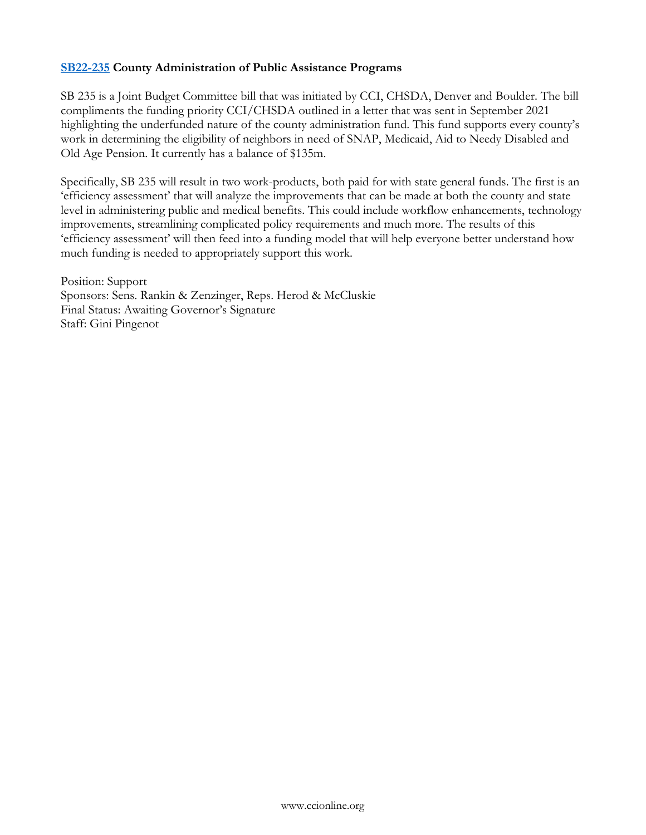### **[SB22-235](https://leg.colorado.gov/bills/sb22-235) County Administration of Public Assistance Programs**

SB 235 is a Joint Budget Committee bill that was initiated by CCI, CHSDA, Denver and Boulder. The bill compliments the funding priority CCI/CHSDA outlined in a letter that was sent in September 2021 highlighting the underfunded nature of the county administration fund. This fund supports every county's work in determining the eligibility of neighbors in need of SNAP, Medicaid, Aid to Needy Disabled and Old Age Pension. It currently has a balance of \$135m.

Specifically, SB 235 will result in two work-products, both paid for with state general funds. The first is an 'efficiency assessment' that will analyze the improvements that can be made at both the county and state level in administering public and medical benefits. This could include workflow enhancements, technology improvements, streamlining complicated policy requirements and much more. The results of this 'efficiency assessment' will then feed into a funding model that will help everyone better understand how much funding is needed to appropriately support this work.

Position: Support Sponsors: Sens. Rankin & Zenzinger, Reps. Herod & McCluskie Final Status: Awaiting Governor's Signature Staff: Gini Pingenot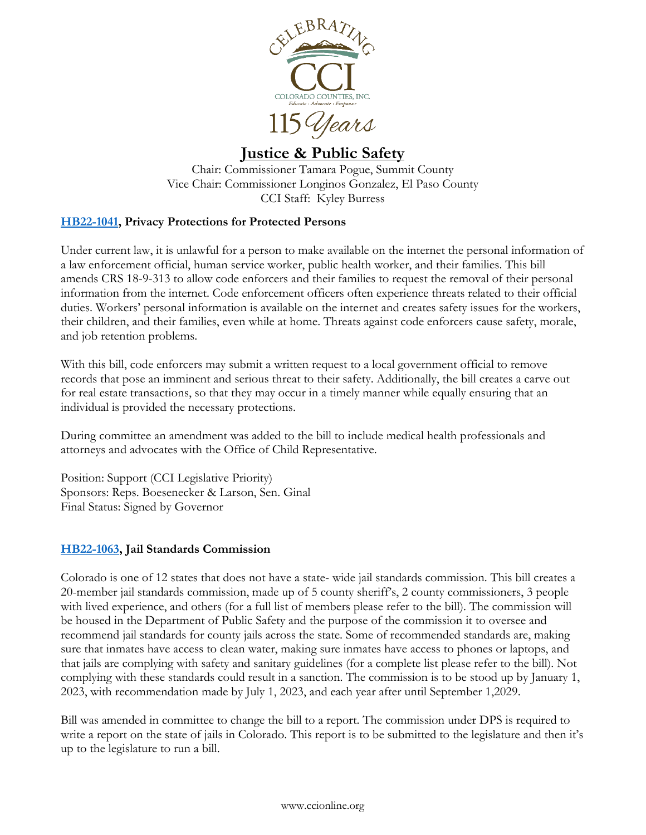

# <span id="page-20-0"></span>**Justice & Public Safety**

Chair: Commissioner Tamara Pogue, Summit County Vice Chair: Commissioner Longinos Gonzalez, El Paso County CCI Staff: Kyley Burress

# **[HB22-1041,](https://leg.colorado.gov/bills/hb22-1041) Privacy Protections for Protected Persons**

Under current law, it is unlawful for a person to make available on the internet the personal information of a law enforcement official, human service worker, public health worker, and their families. This bill amends CRS 18-9-313 to allow code enforcers and their families to request the removal of their personal information from the internet. Code enforcement officers often experience threats related to their official duties. Workers' personal information is available on the internet and creates safety issues for the workers, their children, and their families, even while at home. Threats against code enforcers cause safety, morale, and job retention problems.

With this bill, code enforcers may submit a written request to a local government official to remove records that pose an imminent and serious threat to their safety. Additionally, the bill creates a carve out for real estate transactions, so that they may occur in a timely manner while equally ensuring that an individual is provided the necessary protections.

During committee an amendment was added to the bill to include medical health professionals and attorneys and advocates with the Office of Child Representative.

Position: Support (CCI Legislative Priority) Sponsors: Reps. Boesenecker & Larson, Sen. Ginal Final Status: Signed by Governor

# **[HB22-1063,](https://leg.colorado.gov/bills/hb22-1063) Jail Standards Commission**

Colorado is one of 12 states that does not have a state- wide jail standards commission. This bill creates a 20-member jail standards commission, made up of 5 county sheriff's, 2 county commissioners, 3 people with lived experience, and others (for a full list of members please refer to the bill). The commission will be housed in the Department of Public Safety and the purpose of the commission it to oversee and recommend jail standards for county jails across the state. Some of recommended standards are, making sure that inmates have access to clean water, making sure inmates have access to phones or laptops, and that jails are complying with safety and sanitary guidelines (for a complete list please refer to the bill). Not complying with these standards could result in a sanction. The commission is to be stood up by January 1, 2023, with recommendation made by July 1, 2023, and each year after until September 1,2029.

Bill was amended in committee to change the bill to a report. The commission under DPS is required to write a report on the state of jails in Colorado. This report is to be submitted to the legislature and then it's up to the legislature to run a bill.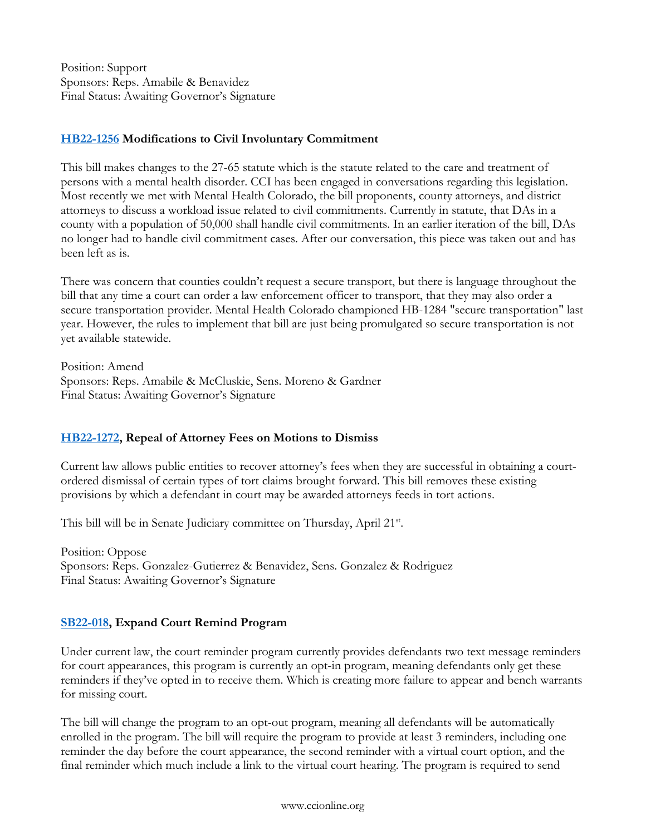Position: Support Sponsors: Reps. Amabile & Benavidez Final Status: Awaiting Governor's Signature

# **[HB22-1256](https://leg.colorado.gov/bills/hb22-1256) Modifications to Civil Involuntary Commitment**

This bill makes changes to the 27-65 statute which is the statute related to the care and treatment of persons with a mental health disorder. CCI has been engaged in conversations regarding this legislation. Most recently we met with Mental Health Colorado, the bill proponents, county attorneys, and district attorneys to discuss a workload issue related to civil commitments. Currently in statute, that DAs in a county with a population of 50,000 shall handle civil commitments. In an earlier iteration of the bill, DAs no longer had to handle civil commitment cases. After our conversation, this piece was taken out and has been left as is.

There was concern that counties couldn't request a secure transport, but there is language throughout the bill that any time a court can order a law enforcement officer to transport, that they may also order a secure transportation provider. Mental Health Colorado championed HB-1284 "secure transportation" last year. However, the rules to implement that bill are just being promulgated so secure transportation is not yet available statewide.

Position: Amend Sponsors: Reps. Amabile & McCluskie, Sens. Moreno & Gardner Final Status: Awaiting Governor's Signature

# **[HB22-1272,](https://leg.colorado.gov/bills/hb22-1272) Repeal of Attorney Fees on Motions to Dismiss**

Current law allows public entities to recover attorney's fees when they are successful in obtaining a courtordered dismissal of certain types of tort claims brought forward. This bill removes these existing provisions by which a defendant in court may be awarded attorneys feeds in tort actions.

This bill will be in Senate Judiciary committee on Thursday, April 21st.

Position: Oppose Sponsors: Reps. Gonzalez-Gutierrez & Benavidez, Sens. Gonzalez & Rodriguez Final Status: Awaiting Governor's Signature

# **[SB22-018,](https://leg.colorado.gov/bills/sb22-018) Expand Court Remind Program**

Under current law, the court reminder program currently provides defendants two text message reminders for court appearances, this program is currently an opt-in program, meaning defendants only get these reminders if they've opted in to receive them. Which is creating more failure to appear and bench warrants for missing court.

The bill will change the program to an opt-out program, meaning all defendants will be automatically enrolled in the program. The bill will require the program to provide at least 3 reminders, including one reminder the day before the court appearance, the second reminder with a virtual court option, and the final reminder which much include a link to the virtual court hearing. The program is required to send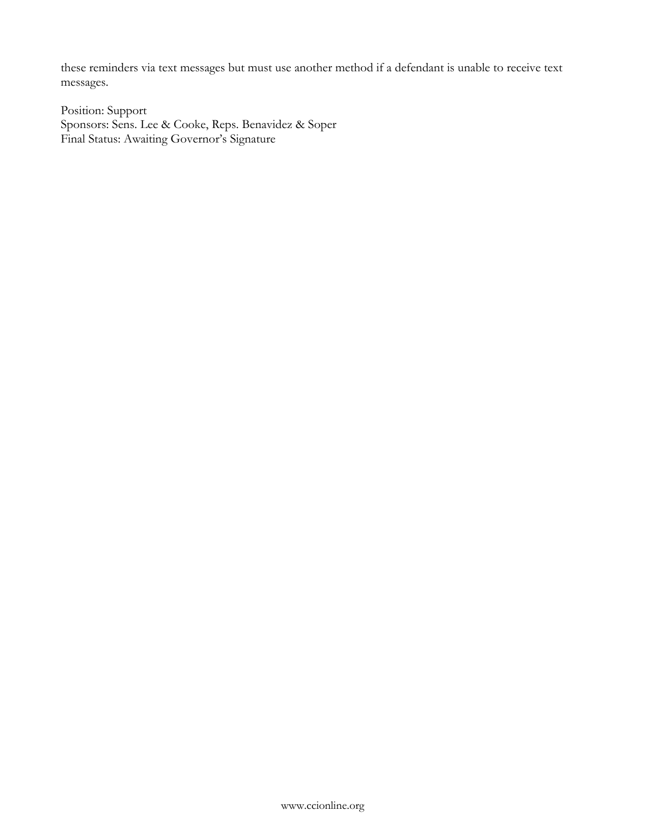these reminders via text messages but must use another method if a defendant is unable to receive text messages.

Position: Support Sponsors: Sens. Lee & Cooke, Reps. Benavidez & Soper Final Status: Awaiting Governor's Signature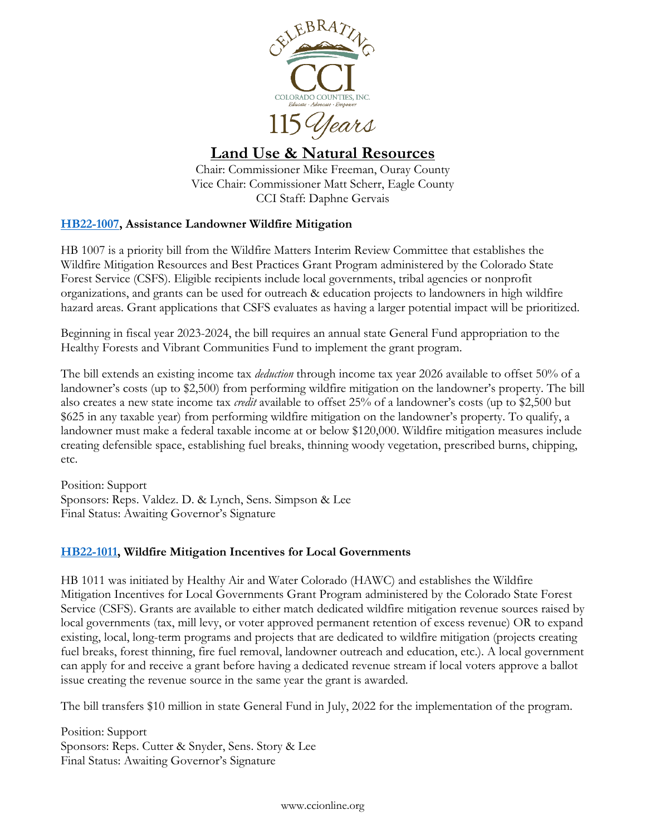

<span id="page-23-0"></span>**Land Use & Natural Resources**

Chair: Commissioner Mike Freeman, Ouray County Vice Chair: Commissioner Matt Scherr, Eagle County CCI Staff: Daphne Gervais

# **[HB22-1007,](https://leg.colorado.gov/bills/hb22-1007) Assistance Landowner Wildfire Mitigation**

HB 1007 is a priority bill from the Wildfire Matters Interim Review Committee that establishes the Wildfire Mitigation Resources and Best Practices Grant Program administered by the Colorado State Forest Service (CSFS). Eligible recipients include local governments, tribal agencies or nonprofit organizations, and grants can be used for outreach & education projects to landowners in high wildfire hazard areas. Grant applications that CSFS evaluates as having a larger potential impact will be prioritized.

Beginning in fiscal year 2023-2024, the bill requires an annual state General Fund appropriation to the Healthy Forests and Vibrant Communities Fund to implement the grant program.

The bill extends an existing income tax *deduction* through income tax year 2026 available to offset 50% of a landowner's costs (up to \$2,500) from performing wildfire mitigation on the landowner's property. The bill also creates a new state income tax *credit* available to offset 25% of a landowner's costs (up to \$2,500 but \$625 in any taxable year) from performing wildfire mitigation on the landowner's property. To qualify, a landowner must make a federal taxable income at or below \$120,000. Wildfire mitigation measures include creating defensible space, establishing fuel breaks, thinning woody vegetation, prescribed burns, chipping, etc.

Position: Support Sponsors: Reps. Valdez. D. & Lynch, Sens. Simpson & Lee Final Status: Awaiting Governor's Signature

# **[HB22-1011,](https://leg.colorado.gov/bills/hb22-1011) Wildfire Mitigation Incentives for Local Governments**

HB 1011 was initiated by Healthy Air and Water Colorado (HAWC) and establishes the Wildfire Mitigation Incentives for Local Governments Grant Program administered by the Colorado State Forest Service (CSFS). Grants are available to either match dedicated wildfire mitigation revenue sources raised by local governments (tax, mill levy, or voter approved permanent retention of excess revenue) OR to expand existing, local, long-term programs and projects that are dedicated to wildfire mitigation (projects creating fuel breaks, forest thinning, fire fuel removal, landowner outreach and education, etc.). A local government can apply for and receive a grant before having a dedicated revenue stream if local voters approve a ballot issue creating the revenue source in the same year the grant is awarded.

The bill transfers \$10 million in state General Fund in July, 2022 for the implementation of the program.

Position: Support Sponsors: Reps. Cutter & Snyder, Sens. Story & Lee Final Status: Awaiting Governor's Signature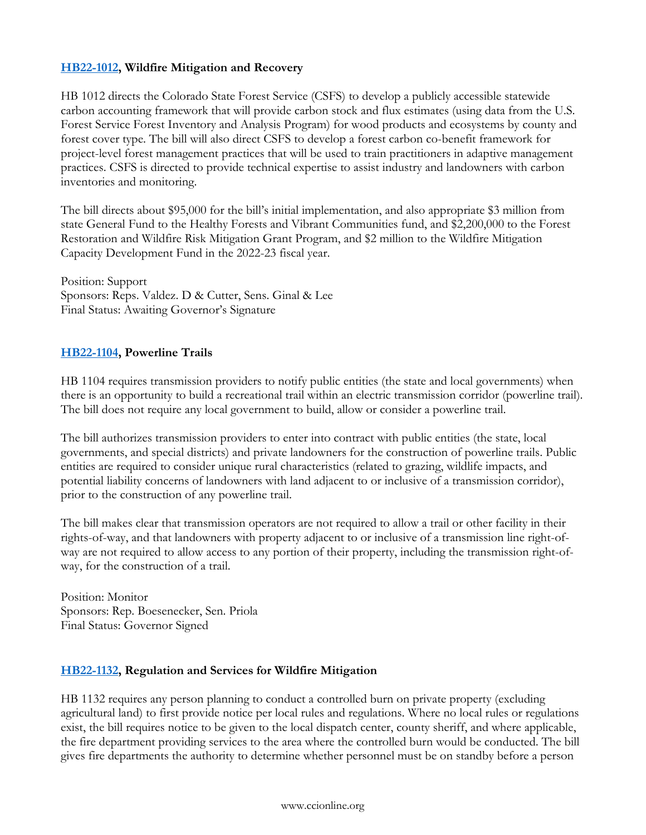# **[HB22-1012,](https://leg.colorado.gov/bills/hb22-1012) Wildfire Mitigation and Recovery**

HB 1012 directs the Colorado State Forest Service (CSFS) to develop a publicly accessible statewide carbon accounting framework that will provide carbon stock and flux estimates (using data from the U.S. Forest Service Forest Inventory and Analysis Program) for wood products and ecosystems by county and forest cover type. The bill will also direct CSFS to develop a forest carbon co-benefit framework for project-level forest management practices that will be used to train practitioners in adaptive management practices. CSFS is directed to provide technical expertise to assist industry and landowners with carbon inventories and monitoring.

The bill directs about \$95,000 for the bill's initial implementation, and also appropriate \$3 million from state General Fund to the Healthy Forests and Vibrant Communities fund, and \$2,200,000 to the Forest Restoration and Wildfire Risk Mitigation Grant Program, and \$2 million to the Wildfire Mitigation Capacity Development Fund in the 2022-23 fiscal year.

Position: Support Sponsors: Reps. Valdez. D & Cutter, Sens. Ginal & Lee Final Status: Awaiting Governor's Signature

### **[HB22-1104,](https://leg.colorado.gov/bills/hb22-1104) Powerline Trails**

HB 1104 requires transmission providers to notify public entities (the state and local governments) when there is an opportunity to build a recreational trail within an electric transmission corridor (powerline trail). The bill does not require any local government to build, allow or consider a powerline trail.

The bill authorizes transmission providers to enter into contract with public entities (the state, local governments, and special districts) and private landowners for the construction of powerline trails. Public entities are required to consider unique rural characteristics (related to grazing, wildlife impacts, and potential liability concerns of landowners with land adjacent to or inclusive of a transmission corridor), prior to the construction of any powerline trail.

The bill makes clear that transmission operators are not required to allow a trail or other facility in their rights-of-way, and that landowners with property adjacent to or inclusive of a transmission line right-ofway are not required to allow access to any portion of their property, including the transmission right-ofway, for the construction of a trail.

Position: Monitor Sponsors: Rep. Boesenecker, Sen. Priola Final Status: Governor Signed

### **[HB22-1132,](https://leg.colorado.gov/bills/hb22-1132) Regulation and Services for Wildfire Mitigation**

HB 1132 requires any person planning to conduct a controlled burn on private property (excluding agricultural land) to first provide notice per local rules and regulations. Where no local rules or regulations exist, the bill requires notice to be given to the local dispatch center, county sheriff, and where applicable, the fire department providing services to the area where the controlled burn would be conducted. The bill gives fire departments the authority to determine whether personnel must be on standby before a person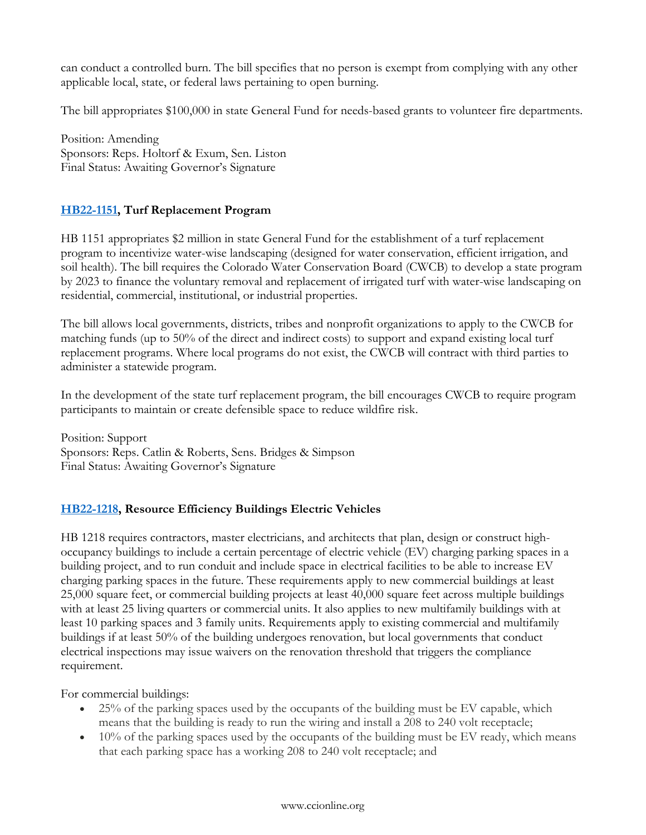can conduct a controlled burn. The bill specifies that no person is exempt from complying with any other applicable local, state, or federal laws pertaining to open burning.

The bill appropriates \$100,000 in state General Fund for needs-based grants to volunteer fire departments.

Position: Amending Sponsors: Reps. Holtorf & Exum, Sen. Liston Final Status: Awaiting Governor's Signature

# **[HB22-1151,](https://leg.colorado.gov/bills/hb22-1151) Turf Replacement Program**

HB 1151 appropriates \$2 million in state General Fund for the establishment of a turf replacement program to incentivize water-wise landscaping (designed for water conservation, efficient irrigation, and soil health). The bill requires the Colorado Water Conservation Board (CWCB) to develop a state program by 2023 to finance the voluntary removal and replacement of irrigated turf with water-wise landscaping on residential, commercial, institutional, or industrial properties.

The bill allows local governments, districts, tribes and nonprofit organizations to apply to the CWCB for matching funds (up to 50% of the direct and indirect costs) to support and expand existing local turf replacement programs. Where local programs do not exist, the CWCB will contract with third parties to administer a statewide program.

In the development of the state turf replacement program, the bill encourages CWCB to require program participants to maintain or create defensible space to reduce wildfire risk.

Position: Support Sponsors: Reps. Catlin & Roberts, Sens. Bridges & Simpson Final Status: Awaiting Governor's Signature

# **[HB22-1218,](https://leg.colorado.gov/bills/hb22-1218) Resource Efficiency Buildings Electric Vehicles**

HB 1218 requires contractors, master electricians, and architects that plan, design or construct highoccupancy buildings to include a certain percentage of electric vehicle (EV) charging parking spaces in a building project, and to run conduit and include space in electrical facilities to be able to increase EV charging parking spaces in the future. These requirements apply to new commercial buildings at least 25,000 square feet, or commercial building projects at least 40,000 square feet across multiple buildings with at least 25 living quarters or commercial units. It also applies to new multifamily buildings with at least 10 parking spaces and 3 family units. Requirements apply to existing commercial and multifamily buildings if at least 50% of the building undergoes renovation, but local governments that conduct electrical inspections may issue waivers on the renovation threshold that triggers the compliance requirement.

For commercial buildings:

- $\bullet$  25% of the parking spaces used by the occupants of the building must be EV capable, which means that the building is ready to run the wiring and install a 208 to 240 volt receptacle;
- $\bullet$  10% of the parking spaces used by the occupants of the building must be EV ready, which means that each parking space has a working 208 to 240 volt receptacle; and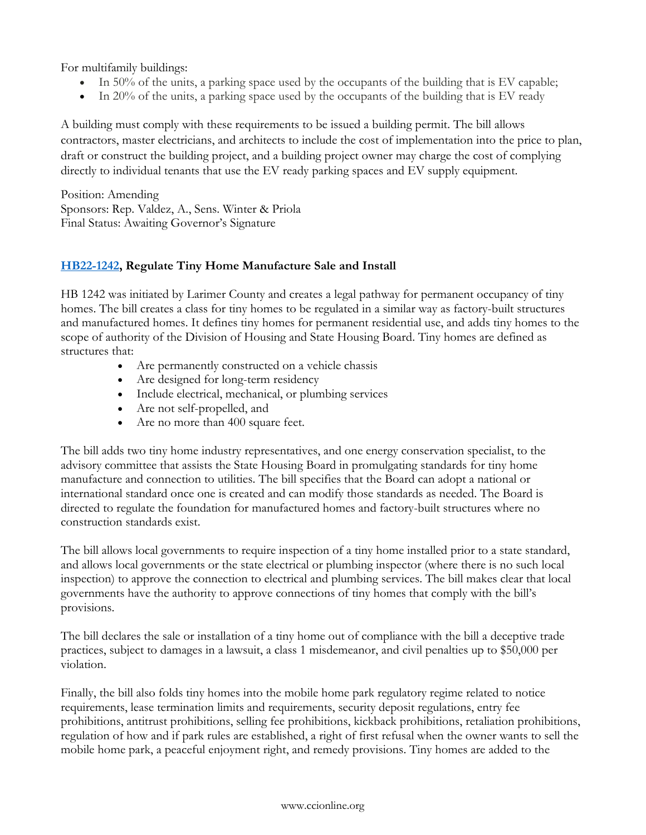For multifamily buildings:

- In 50% of the units, a parking space used by the occupants of the building that is EV capable;
- In 20% of the units, a parking space used by the occupants of the building that is EV ready

A building must comply with these requirements to be issued a building permit. The bill allows contractors, master electricians, and architects to include the cost of implementation into the price to plan, draft or construct the building project, and a building project owner may charge the cost of complying directly to individual tenants that use the EV ready parking spaces and EV supply equipment.

Position: Amending Sponsors: Rep. Valdez, A., Sens. Winter & Priola Final Status: Awaiting Governor's Signature

# **[HB22-1242,](https://leg.colorado.gov/bills/hb22-1242) Regulate Tiny Home Manufacture Sale and Install**

HB 1242 was initiated by Larimer County and creates a legal pathway for permanent occupancy of tiny homes. The bill creates a class for tiny homes to be regulated in a similar way as factory-built structures and manufactured homes. It defines tiny homes for permanent residential use, and adds tiny homes to the scope of authority of the Division of Housing and State Housing Board. Tiny homes are defined as structures that:

- Are permanently constructed on a vehicle chassis
- Are designed for long-term residency
- Include electrical, mechanical, or plumbing services
- Are not self-propelled, and
- Are no more than 400 square feet.

The bill adds two tiny home industry representatives, and one energy conservation specialist, to the advisory committee that assists the State Housing Board in promulgating standards for tiny home manufacture and connection to utilities. The bill specifies that the Board can adopt a national or international standard once one is created and can modify those standards as needed. The Board is directed to regulate the foundation for manufactured homes and factory-built structures where no construction standards exist.

The bill allows local governments to require inspection of a tiny home installed prior to a state standard, and allows local governments or the state electrical or plumbing inspector (where there is no such local inspection) to approve the connection to electrical and plumbing services. The bill makes clear that local governments have the authority to approve connections of tiny homes that comply with the bill's provisions.

The bill declares the sale or installation of a tiny home out of compliance with the bill a deceptive trade practices, subject to damages in a lawsuit, a class 1 misdemeanor, and civil penalties up to \$50,000 per violation.

Finally, the bill also folds tiny homes into the mobile home park regulatory regime related to notice requirements, lease termination limits and requirements, security deposit regulations, entry fee prohibitions, antitrust prohibitions, selling fee prohibitions, kickback prohibitions, retaliation prohibitions, regulation of how and if park rules are established, a right of first refusal when the owner wants to sell the mobile home park, a peaceful enjoyment right, and remedy provisions. Tiny homes are added to the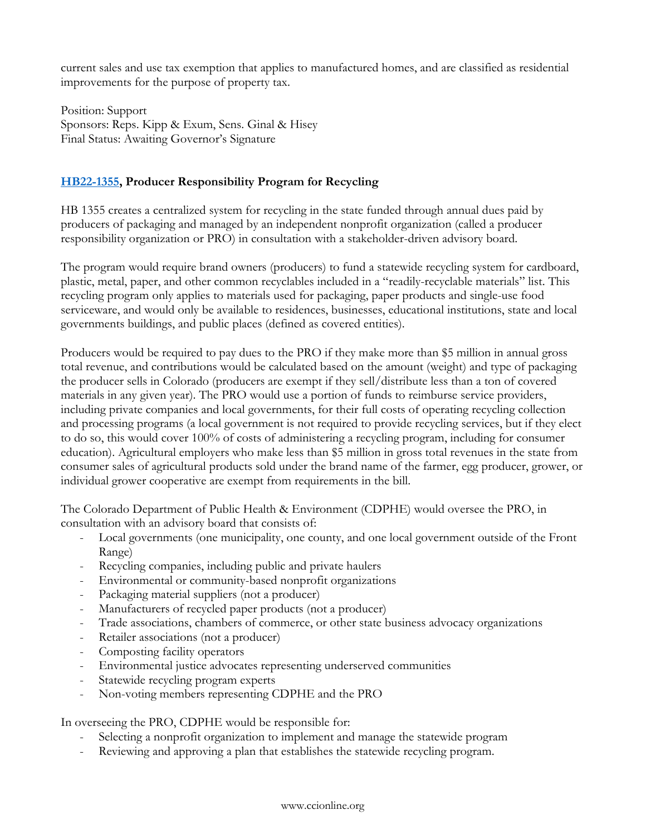current sales and use tax exemption that applies to manufactured homes, and are classified as residential improvements for the purpose of property tax.

Position: Support Sponsors: Reps. Kipp & Exum, Sens. Ginal & Hisey Final Status: Awaiting Governor's Signature

# **[HB22-1355,](https://leg.colorado.gov/bills/hb22-1355) Producer Responsibility Program for Recycling**

HB 1355 creates a centralized system for recycling in the state funded through annual dues paid by producers of packaging and managed by an independent nonprofit organization (called a producer responsibility organization or PRO) in consultation with a stakeholder-driven advisory board.

The program would require brand owners (producers) to fund a statewide recycling system for cardboard, plastic, metal, paper, and other common recyclables included in a "readily-recyclable materials" list. This recycling program only applies to materials used for packaging, paper products and single-use food serviceware, and would only be available to residences, businesses, educational institutions, state and local governments buildings, and public places (defined as covered entities).

Producers would be required to pay dues to the PRO if they make more than \$5 million in annual gross total revenue, and contributions would be calculated based on the amount (weight) and type of packaging the producer sells in Colorado (producers are exempt if they sell/distribute less than a ton of covered materials in any given year). The PRO would use a portion of funds to reimburse service providers, including private companies and local governments, for their full costs of operating recycling collection and processing programs (a local government is not required to provide recycling services, but if they elect to do so, this would cover 100% of costs of administering a recycling program, including for consumer education). Agricultural employers who make less than \$5 million in gross total revenues in the state from consumer sales of agricultural products sold under the brand name of the farmer, egg producer, grower, or individual grower cooperative are exempt from requirements in the bill.

The Colorado Department of Public Health & Environment (CDPHE) would oversee the PRO, in consultation with an advisory board that consists of:

- Local governments (one municipality, one county, and one local government outside of the Front Range)
- Recycling companies, including public and private haulers
- Environmental or community-based nonprofit organizations
- Packaging material suppliers (not a producer)
- Manufacturers of recycled paper products (not a producer)
- Trade associations, chambers of commerce, or other state business advocacy organizations
- Retailer associations (not a producer)
- Composting facility operators
- Environmental justice advocates representing underserved communities
- Statewide recycling program experts
- Non-voting members representing CDPHE and the PRO

In overseeing the PRO, CDPHE would be responsible for:

- Selecting a nonprofit organization to implement and manage the statewide program
- Reviewing and approving a plan that establishes the statewide recycling program.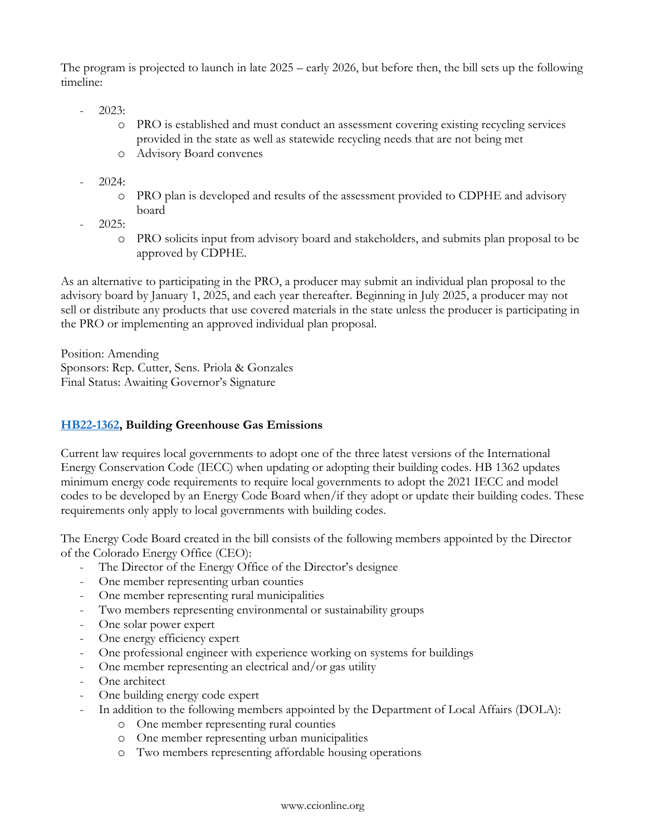The program is projected to launch in late 2025 – early 2026, but before then, the bill sets up the following timeline:

- 2023:
	- o PRO is established and must conduct an assessment covering existing recycling services provided in the state as well as statewide recycling needs that are not being met
	- o Advisory Board convenes
- 2024:
	- o PRO plan is developed and results of the assessment provided to CDPHE and advisory board
- 2025:
	- o PRO solicits input from advisory board and stakeholders, and submits plan proposal to be approved by CDPHE.

As an alternative to participating in the PRO, a producer may submit an individual plan proposal to the advisory board by January 1, 2025, and each year thereafter. Beginning in July 2025, a producer may not sell or distribute any products that use covered materials in the state unless the producer is participating in the PRO or implementing an approved individual plan proposal.

Position: Amending Sponsors: Rep. Cutter, Sens. Priola & Gonzales Final Status: Awaiting Governor's Signature

# **[HB22-1362,](https://leg.colorado.gov/bills/hb22-1362) Building Greenhouse Gas Emissions**

Current law requires local governments to adopt one of the three latest versions of the International Energy Conservation Code (IECC) when updating or adopting their building codes. HB 1362 updates minimum energy code requirements to require local governments to adopt the 2021 IECC and model codes to be developed by an Energy Code Board when/if they adopt or update their building codes. These requirements only apply to local governments with building codes.

The Energy Code Board created in the bill consists of the following members appointed by the Director of the Colorado Energy Office (CEO):

- The Director of the Energy Office of the Director's designee
- One member representing urban counties
- One member representing rural municipalities
- Two members representing environmental or sustainability groups
- One solar power expert
- One energy efficiency expert
- One professional engineer with experience working on systems for buildings
- One member representing an electrical and/or gas utility
- One architect
- One building energy code expert
- In addition to the following members appointed by the Department of Local Affairs (DOLA):
	- o One member representing rural counties
	- o One member representing urban municipalities
	- o Two members representing affordable housing operations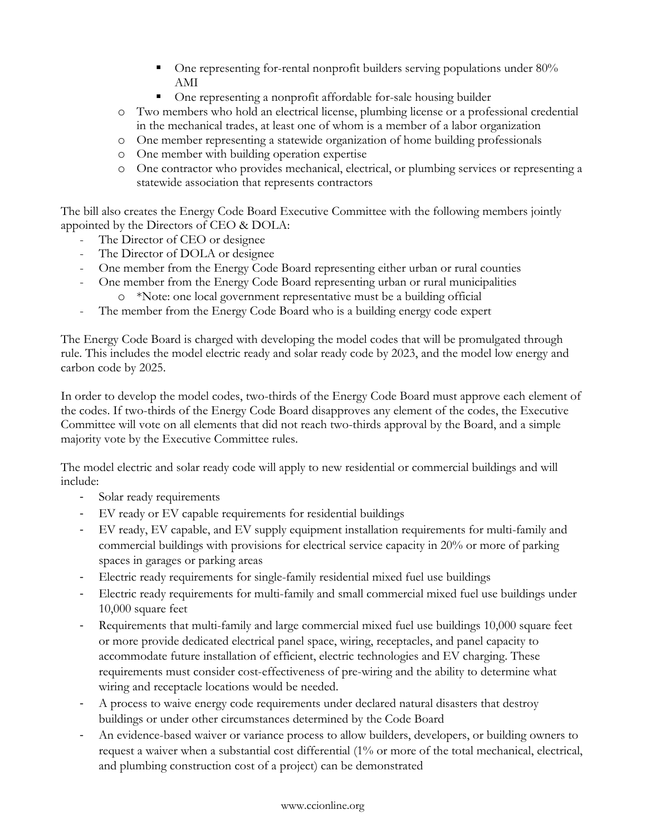- One representing for-rental nonprofit builders serving populations under 80% AMI
- One representing a nonprofit affordable for-sale housing builder
- o Two members who hold an electrical license, plumbing license or a professional credential in the mechanical trades, at least one of whom is a member of a labor organization
- o One member representing a statewide organization of home building professionals
- o One member with building operation expertise
- o One contractor who provides mechanical, electrical, or plumbing services or representing a statewide association that represents contractors

The bill also creates the Energy Code Board Executive Committee with the following members jointly appointed by the Directors of CEO & DOLA:

- The Director of CEO or designee
- The Director of DOLA or designee
- One member from the Energy Code Board representing either urban or rural counties
- One member from the Energy Code Board representing urban or rural municipalities
	- o \*Note: one local government representative must be a building official
- The member from the Energy Code Board who is a building energy code expert

The Energy Code Board is charged with developing the model codes that will be promulgated through rule. This includes the model electric ready and solar ready code by 2023, and the model low energy and carbon code by 2025.

In order to develop the model codes, two-thirds of the Energy Code Board must approve each element of the codes. If two-thirds of the Energy Code Board disapproves any element of the codes, the Executive Committee will vote on all elements that did not reach two-thirds approval by the Board, and a simple majority vote by the Executive Committee rules.

The model electric and solar ready code will apply to new residential or commercial buildings and will include:

- Solar ready requirements
- EV ready or EV capable requirements for residential buildings
- EV ready, EV capable, and EV supply equipment installation requirements for multi-family and commercial buildings with provisions for electrical service capacity in 20% or more of parking spaces in garages or parking areas
- Electric ready requirements for single-family residential mixed fuel use buildings
- Electric ready requirements for multi-family and small commercial mixed fuel use buildings under 10,000 square feet
- Requirements that multi-family and large commercial mixed fuel use buildings 10,000 square feet or more provide dedicated electrical panel space, wiring, receptacles, and panel capacity to accommodate future installation of efficient, electric technologies and EV charging. These requirements must consider cost-effectiveness of pre-wiring and the ability to determine what wiring and receptacle locations would be needed.
- A process to waive energy code requirements under declared natural disasters that destroy buildings or under other circumstances determined by the Code Board
- An evidence-based waiver or variance process to allow builders, developers, or building owners to request a waiver when a substantial cost differential (1% or more of the total mechanical, electrical, and plumbing construction cost of a project) can be demonstrated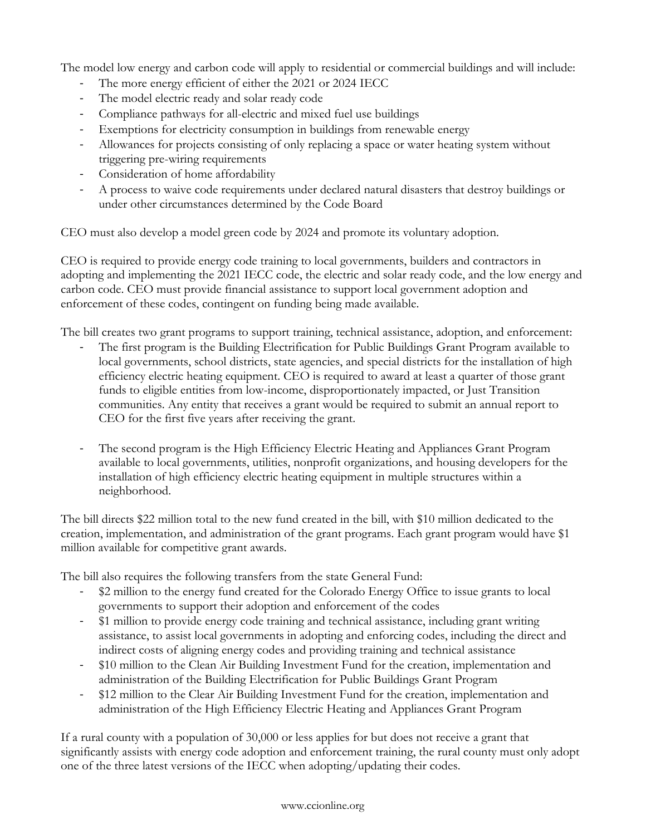The model low energy and carbon code will apply to residential or commercial buildings and will include:

- The more energy efficient of either the 2021 or 2024 IECC
- The model electric ready and solar ready code
- Compliance pathways for all-electric and mixed fuel use buildings
- Exemptions for electricity consumption in buildings from renewable energy
- Allowances for projects consisting of only replacing a space or water heating system without triggering pre-wiring requirements
- Consideration of home affordability
- A process to waive code requirements under declared natural disasters that destroy buildings or under other circumstances determined by the Code Board

CEO must also develop a model green code by 2024 and promote its voluntary adoption.

CEO is required to provide energy code training to local governments, builders and contractors in adopting and implementing the 2021 IECC code, the electric and solar ready code, and the low energy and carbon code. CEO must provide financial assistance to support local government adoption and enforcement of these codes, contingent on funding being made available.

The bill creates two grant programs to support training, technical assistance, adoption, and enforcement:

- The first program is the Building Electrification for Public Buildings Grant Program available to local governments, school districts, state agencies, and special districts for the installation of high efficiency electric heating equipment. CEO is required to award at least a quarter of those grant funds to eligible entities from low-income, disproportionately impacted, or Just Transition communities. Any entity that receives a grant would be required to submit an annual report to CEO for the first five years after receiving the grant.
- The second program is the High Efficiency Electric Heating and Appliances Grant Program available to local governments, utilities, nonprofit organizations, and housing developers for the installation of high efficiency electric heating equipment in multiple structures within a neighborhood.

The bill directs \$22 million total to the new fund created in the bill, with \$10 million dedicated to the creation, implementation, and administration of the grant programs. Each grant program would have \$1 million available for competitive grant awards.

The bill also requires the following transfers from the state General Fund:

- \$2 million to the energy fund created for the Colorado Energy Office to issue grants to local governments to support their adoption and enforcement of the codes
- \$1 million to provide energy code training and technical assistance, including grant writing assistance, to assist local governments in adopting and enforcing codes, including the direct and indirect costs of aligning energy codes and providing training and technical assistance
- \$10 million to the Clean Air Building Investment Fund for the creation, implementation and administration of the Building Electrification for Public Buildings Grant Program
- \$12 million to the Clear Air Building Investment Fund for the creation, implementation and administration of the High Efficiency Electric Heating and Appliances Grant Program

If a rural county with a population of 30,000 or less applies for but does not receive a grant that significantly assists with energy code adoption and enforcement training, the rural county must only adopt one of the three latest versions of the IECC when adopting/updating their codes.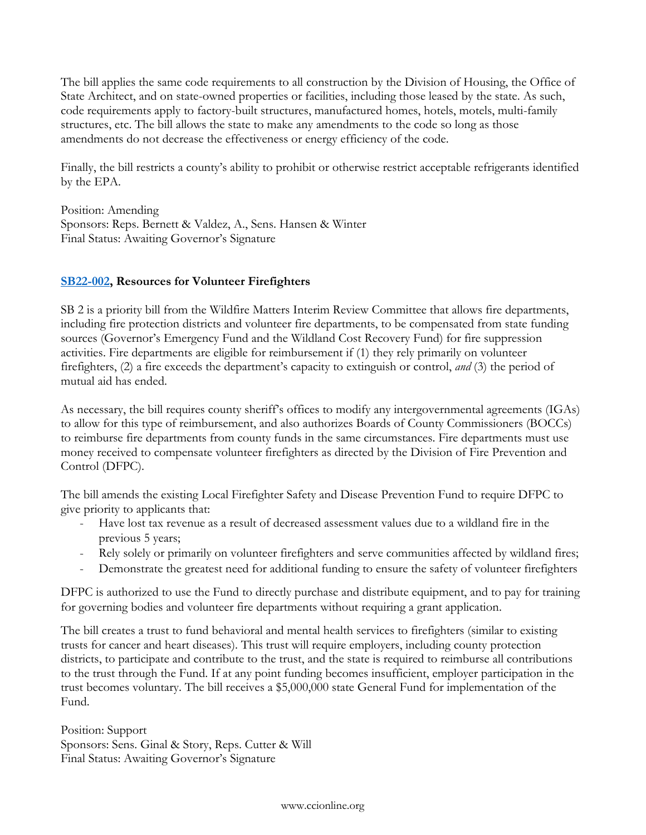The bill applies the same code requirements to all construction by the Division of Housing, the Office of State Architect, and on state-owned properties or facilities, including those leased by the state. As such, code requirements apply to factory-built structures, manufactured homes, hotels, motels, multi-family structures, etc. The bill allows the state to make any amendments to the code so long as those amendments do not decrease the effectiveness or energy efficiency of the code.

Finally, the bill restricts a county's ability to prohibit or otherwise restrict acceptable refrigerants identified by the EPA.

Position: Amending Sponsors: Reps. Bernett & Valdez, A., Sens. Hansen & Winter Final Status: Awaiting Governor's Signature

# **[SB22-002,](https://leg.colorado.gov/bills/sb22-002) Resources for Volunteer Firefighters**

SB 2 is a priority bill from the Wildfire Matters Interim Review Committee that allows fire departments, including fire protection districts and volunteer fire departments, to be compensated from state funding sources (Governor's Emergency Fund and the Wildland Cost Recovery Fund) for fire suppression activities. Fire departments are eligible for reimbursement if (1) they rely primarily on volunteer firefighters, (2) a fire exceeds the department's capacity to extinguish or control, *and* (3) the period of mutual aid has ended.

As necessary, the bill requires county sheriff's offices to modify any intergovernmental agreements (IGAs) to allow for this type of reimbursement, and also authorizes Boards of County Commissioners (BOCCs) to reimburse fire departments from county funds in the same circumstances. Fire departments must use money received to compensate volunteer firefighters as directed by the Division of Fire Prevention and Control (DFPC).

The bill amends the existing Local Firefighter Safety and Disease Prevention Fund to require DFPC to give priority to applicants that:

- Have lost tax revenue as a result of decreased assessment values due to a wildland fire in the previous 5 years;
- Rely solely or primarily on volunteer firefighters and serve communities affected by wildland fires;
- Demonstrate the greatest need for additional funding to ensure the safety of volunteer firefighters

DFPC is authorized to use the Fund to directly purchase and distribute equipment, and to pay for training for governing bodies and volunteer fire departments without requiring a grant application.

The bill creates a trust to fund behavioral and mental health services to firefighters (similar to existing trusts for cancer and heart diseases). This trust will require employers, including county protection districts, to participate and contribute to the trust, and the state is required to reimburse all contributions to the trust through the Fund. If at any point funding becomes insufficient, employer participation in the trust becomes voluntary. The bill receives a \$5,000,000 state General Fund for implementation of the Fund.

Position: Support Sponsors: Sens. Ginal & Story, Reps. Cutter & Will Final Status: Awaiting Governor's Signature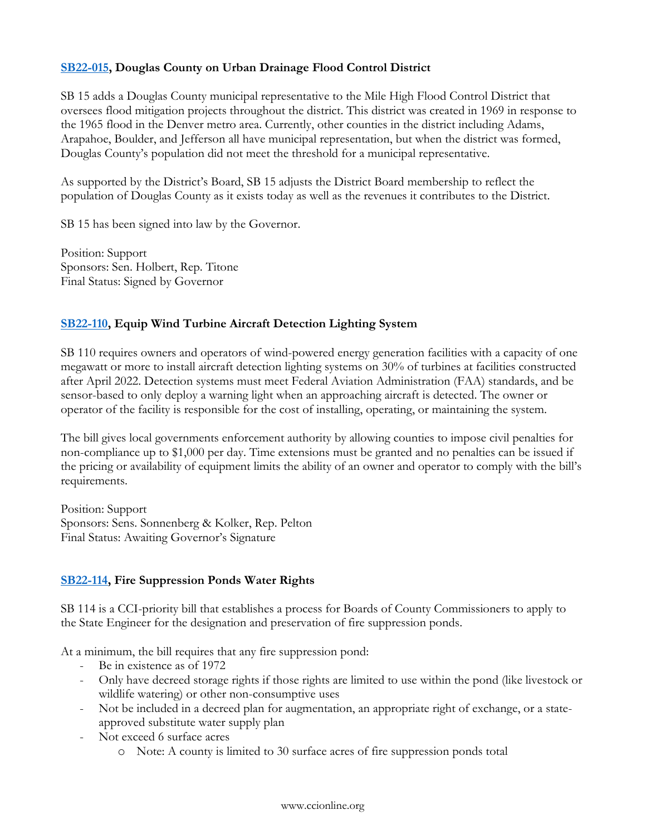# **[SB22-015,](https://leg.colorado.gov/bills/sb22-015) Douglas County on Urban Drainage Flood Control District**

SB 15 adds a Douglas County municipal representative to the Mile High Flood Control District that oversees flood mitigation projects throughout the district. This district was created in 1969 in response to the 1965 flood in the Denver metro area. Currently, other counties in the district including Adams, Arapahoe, Boulder, and Jefferson all have municipal representation, but when the district was formed, Douglas County's population did not meet the threshold for a municipal representative.

As supported by the District's Board, SB 15 adjusts the District Board membership to reflect the population of Douglas County as it exists today as well as the revenues it contributes to the District.

SB 15 has been signed into law by the Governor.

Position: Support Sponsors: Sen. Holbert, Rep. Titone Final Status: Signed by Governor

# **[SB22-110,](https://leg.colorado.gov/bills/sb22-110) Equip Wind Turbine Aircraft Detection Lighting System**

SB 110 requires owners and operators of wind-powered energy generation facilities with a capacity of one megawatt or more to install aircraft detection lighting systems on 30% of turbines at facilities constructed after April 2022. Detection systems must meet Federal Aviation Administration (FAA) standards, and be sensor-based to only deploy a warning light when an approaching aircraft is detected. The owner or operator of the facility is responsible for the cost of installing, operating, or maintaining the system.

The bill gives local governments enforcement authority by allowing counties to impose civil penalties for non-compliance up to \$1,000 per day. Time extensions must be granted and no penalties can be issued if the pricing or availability of equipment limits the ability of an owner and operator to comply with the bill's requirements.

Position: Support Sponsors: Sens. Sonnenberg & Kolker, Rep. Pelton Final Status: Awaiting Governor's Signature

# **[SB22-114,](https://leg.colorado.gov/bills/sb22-114) Fire Suppression Ponds Water Rights**

SB 114 is a CCI-priority bill that establishes a process for Boards of County Commissioners to apply to the State Engineer for the designation and preservation of fire suppression ponds.

At a minimum, the bill requires that any fire suppression pond:

- Be in existence as of 1972
- Only have decreed storage rights if those rights are limited to use within the pond (like livestock or wildlife watering) or other non-consumptive uses
- Not be included in a decreed plan for augmentation, an appropriate right of exchange, or a stateapproved substitute water supply plan
- Not exceed 6 surface acres
	- o Note: A county is limited to 30 surface acres of fire suppression ponds total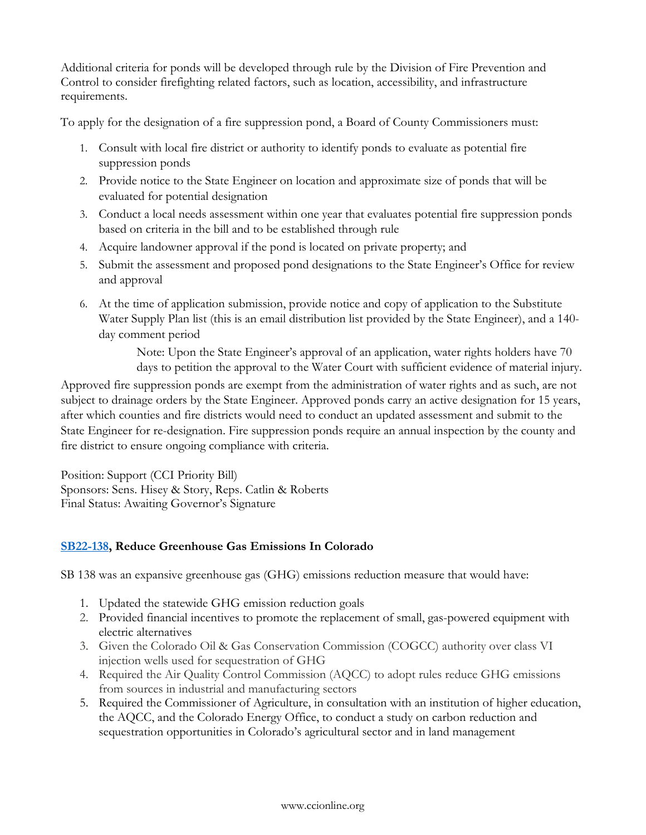Additional criteria for ponds will be developed through rule by the Division of Fire Prevention and Control to consider firefighting related factors, such as location, accessibility, and infrastructure requirements.

To apply for the designation of a fire suppression pond, a Board of County Commissioners must:

- 1. Consult with local fire district or authority to identify ponds to evaluate as potential fire suppression ponds
- 2. Provide notice to the State Engineer on location and approximate size of ponds that will be evaluated for potential designation
- 3. Conduct a local needs assessment within one year that evaluates potential fire suppression ponds based on criteria in the bill and to be established through rule
- 4. Acquire landowner approval if the pond is located on private property; and
- 5. Submit the assessment and proposed pond designations to the State Engineer's Office for review and approval
- 6. At the time of application submission, provide notice and copy of application to the Substitute Water Supply Plan list (this is an email distribution list provided by the State Engineer), and a 140 day comment period

Note: Upon the State Engineer's approval of an application, water rights holders have 70 days to petition the approval to the Water Court with sufficient evidence of material injury.

Approved fire suppression ponds are exempt from the administration of water rights and as such, are not subject to drainage orders by the State Engineer. Approved ponds carry an active designation for 15 years, after which counties and fire districts would need to conduct an updated assessment and submit to the State Engineer for re-designation. Fire suppression ponds require an annual inspection by the county and fire district to ensure ongoing compliance with criteria.

Position: Support (CCI Priority Bill) Sponsors: Sens. Hisey & Story, Reps. Catlin & Roberts Final Status: Awaiting Governor's Signature

# **[SB22-138,](https://leg.colorado.gov/bills/sb22-138) Reduce Greenhouse Gas Emissions In Colorado**

SB 138 was an expansive greenhouse gas (GHG) emissions reduction measure that would have:

- 1. Updated the statewide GHG emission reduction goals
- 2. Provided financial incentives to promote the replacement of small, gas-powered equipment with electric alternatives
- 3. Given the Colorado Oil & Gas Conservation Commission (COGCC) authority over class VI injection wells used for sequestration of GHG
- 4. Required the Air Quality Control Commission (AQCC) to adopt rules reduce GHG emissions from sources in industrial and manufacturing sectors
- 5. Required the Commissioner of Agriculture, in consultation with an institution of higher education, the AQCC, and the Colorado Energy Office, to conduct a study on carbon reduction and sequestration opportunities in Colorado's agricultural sector and in land management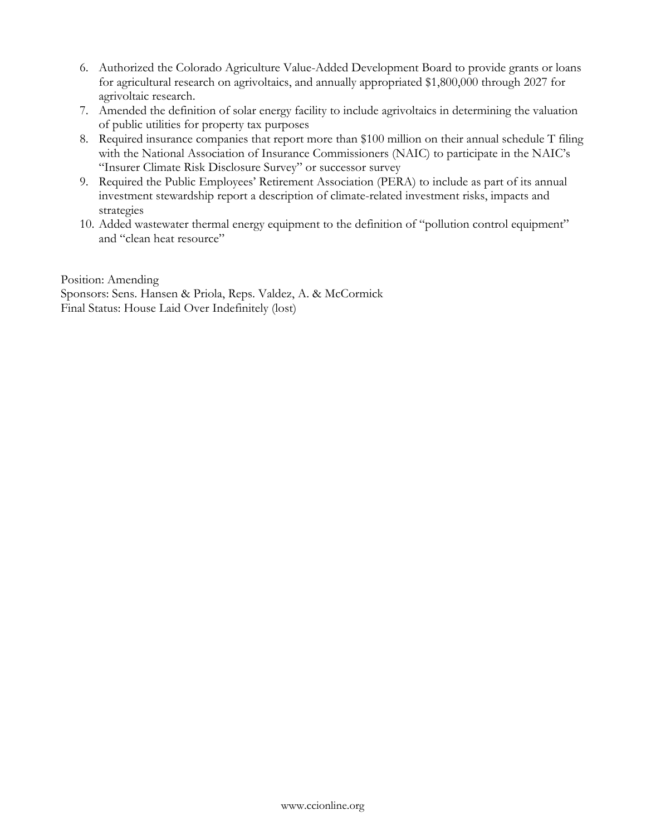- 6. Authorized the Colorado Agriculture Value-Added Development Board to provide grants or loans for agricultural research on agrivoltaics, and annually appropriated \$1,800,000 through 2027 for agrivoltaic research.
- 7. Amended the definition of solar energy facility to include agrivoltaics in determining the valuation of public utilities for property tax purposes
- 8. Required insurance companies that report more than \$100 million on their annual schedule T filing with the National Association of Insurance Commissioners (NAIC) to participate in the NAIC's "Insurer Climate Risk Disclosure Survey" or successor survey
- 9. Required the Public Employees' Retirement Association (PERA) to include as part of its annual investment stewardship report a description of climate-related investment risks, impacts and strategies
- 10. Added wastewater thermal energy equipment to the definition of "pollution control equipment" and "clean heat resource"

Position: Amending

Sponsors: Sens. Hansen & Priola, Reps. Valdez, A. & McCormick Final Status: House Laid Over Indefinitely (lost)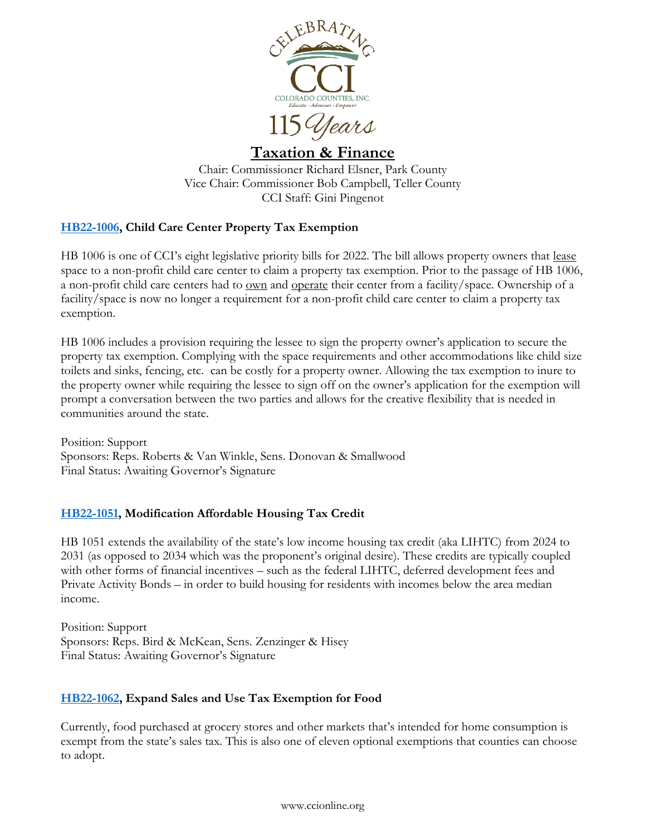

# <span id="page-35-0"></span>**Taxation & Finance**

Chair: Commissioner Richard Elsner, Park County Vice Chair: Commissioner Bob Campbell, Teller County CCI Staff: Gini Pingenot

# **[HB22-1006,](https://leg.colorado.gov/bills/hb22-1006) Child Care Center Property Tax Exemption**

HB 1006 is one of CCI's eight legislative priority bills for 2022. The bill allows property owners that <u>lease</u> space to a non-profit child care center to claim a property tax exemption. Prior to the passage of HB 1006, a non-profit child care centers had to own and operate their center from a facility/space. Ownership of a facility/space is now no longer a requirement for a non-profit child care center to claim a property tax exemption.

HB 1006 includes a provision requiring the lessee to sign the property owner's application to secure the property tax exemption. Complying with the space requirements and other accommodations like child size toilets and sinks, fencing, etc. can be costly for a property owner. Allowing the tax exemption to inure to the property owner while requiring the lessee to sign off on the owner's application for the exemption will prompt a conversation between the two parties and allows for the creative flexibility that is needed in communities around the state.

Position: Support Sponsors: Reps. Roberts & Van Winkle, Sens. Donovan & Smallwood Final Status: Awaiting Governor's Signature

# **[HB22-1051,](https://leg.colorado.gov/bills/HB22-1051) Modification Affordable Housing Tax Credit**

HB 1051 extends the availability of the state's low income housing tax credit (aka LIHTC) from 2024 to 2031 (as opposed to 2034 which was the proponent's original desire). These credits are typically coupled with other forms of financial incentives – such as the federal LIHTC, deferred development fees and Private Activity Bonds – in order to build housing for residents with incomes below the area median income.

Position: Support Sponsors: Reps. Bird & McKean, Sens. Zenzinger & Hisey Final Status: Awaiting Governor's Signature

# **[HB22-1062,](https://leg.colorado.gov/bills/hb22-1062) Expand Sales and Use Tax Exemption for Food**

Currently, food purchased at grocery stores and other markets that's intended for home consumption is exempt from the state's sales tax. This is also one of eleven optional exemptions that counties can choose to adopt.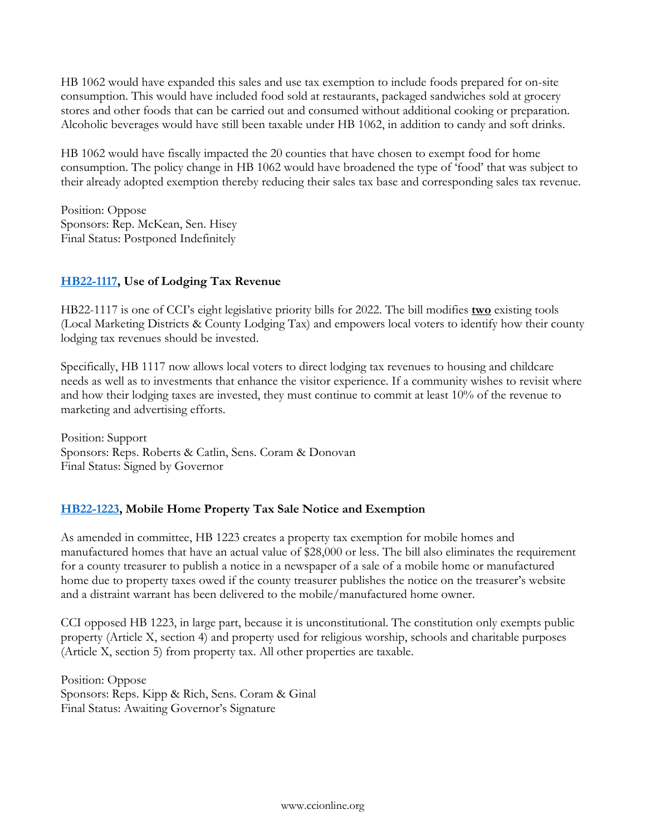HB 1062 would have expanded this sales and use tax exemption to include foods prepared for on-site consumption. This would have included food sold at restaurants, packaged sandwiches sold at grocery stores and other foods that can be carried out and consumed without additional cooking or preparation. Alcoholic beverages would have still been taxable under HB 1062, in addition to candy and soft drinks.

HB 1062 would have fiscally impacted the 20 counties that have chosen to exempt food for home consumption. The policy change in HB 1062 would have broadened the type of 'food' that was subject to their already adopted exemption thereby reducing their sales tax base and corresponding sales tax revenue.

Position: Oppose Sponsors: Rep. McKean, Sen. Hisey Final Status: Postponed Indefinitely

# **[HB22-1117,](https://leg.colorado.gov/bills/hb22-1117) Use of Lodging Tax Revenue**

HB22-1117 is one of CCI's eight legislative priority bills for 2022. The bill modifies **two** existing tools (Local Marketing Districts & County Lodging Tax) and empowers local voters to identify how their county lodging tax revenues should be invested.

Specifically, HB 1117 now allows local voters to direct lodging tax revenues to housing and childcare needs as well as to investments that enhance the visitor experience. If a community wishes to revisit where and how their lodging taxes are invested, they must continue to commit at least 10% of the revenue to marketing and advertising efforts.

Position: Support Sponsors: Reps. Roberts & Catlin, Sens. Coram & Donovan Final Status: Signed by Governor

# **[HB22-1223,](https://leg.colorado.gov/bills/hb22-1223) Mobile Home Property Tax Sale Notice and Exemption**

As amended in committee, HB 1223 creates a property tax exemption for mobile homes and manufactured homes that have an actual value of \$28,000 or less. The bill also eliminates the requirement for a county treasurer to publish a notice in a newspaper of a sale of a mobile home or manufactured home due to property taxes owed if the county treasurer publishes the notice on the treasurer's website and a distraint warrant has been delivered to the mobile/manufactured home owner.

CCI opposed HB 1223, in large part, because it is unconstitutional. The constitution only exempts public property (Article X, section 4) and property used for religious worship, schools and charitable purposes (Article X, section 5) from property tax. All other properties are taxable.

Position: Oppose Sponsors: Reps. Kipp & Rich, Sens. Coram & Ginal Final Status: Awaiting Governor's Signature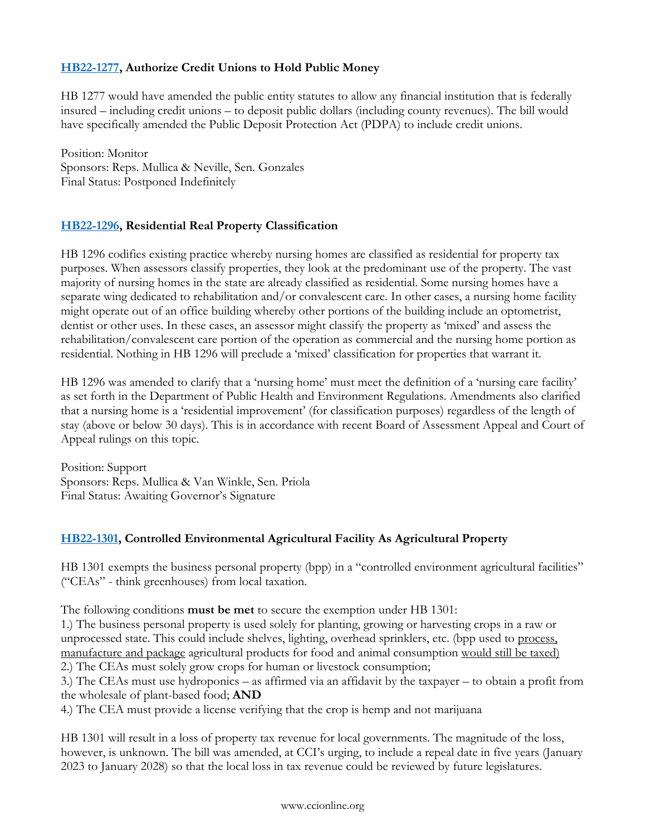# **[HB22-1277,](https://leg.colorado.gov/bills/hb22-1277) Authorize Credit Unions to Hold Public Money**

HB 1277 would have amended the public entity statutes to allow any financial institution that is federally insured – including credit unions – to deposit public dollars (including county revenues). The bill would have specifically amended the Public Deposit Protection Act (PDPA) to include credit unions.

Position: Monitor Sponsors: Reps. Mullica & Neville, Sen. Gonzales Final Status: Postponed Indefinitely

# **[HB22-1296,](https://leg.colorado.gov/bills/hb22-1296) Residential Real Property Classification**

HB 1296 codifies existing practice whereby nursing homes are classified as residential for property tax purposes. When assessors classify properties, they look at the predominant use of the property. The vast majority of nursing homes in the state are already classified as residential. Some nursing homes have a separate wing dedicated to rehabilitation and/or convalescent care. In other cases, a nursing home facility might operate out of an office building whereby other portions of the building include an optometrist, dentist or other uses. In these cases, an assessor might classify the property as 'mixed' and assess the rehabilitation/convalescent care portion of the operation as commercial and the nursing home portion as residential. Nothing in HB 1296 will preclude a 'mixed' classification for properties that warrant it.

HB 1296 was amended to clarify that a 'nursing home' must meet the definition of a 'nursing care facility' as set forth in the Department of Public Health and Environment Regulations. Amendments also clarified that a nursing home is a 'residential improvement' (for classification purposes) regardless of the length of stay (above or below 30 days). This is in accordance with recent Board of Assessment Appeal and Court of Appeal rulings on this topic.

Position: Support Sponsors: Reps. Mullica & Van Winkle, Sen. Priola Final Status: Awaiting Governor's Signature

# **[HB22-1301,](https://leg.colorado.gov/bills/hb22-1301) Controlled Environmental Agricultural Facility As Agricultural Property**

HB 1301 exempts the business personal property (bpp) in a "controlled environment agricultural facilities" ("CEAs" - think greenhouses) from local taxation.

The following conditions **must be met** to secure the exemption under HB 1301:

1.) The business personal property is used solely for planting, growing or harvesting crops in a raw or unprocessed state. This could include shelves, lighting, overhead sprinklers, etc. (bpp used to process, manufacture and package agricultural products for food and animal consumption would still be taxed) 2.) The CEAs must solely grow crops for human or livestock consumption;

3.) The CEAs must use hydroponics – as affirmed via an affidavit by the taxpayer – to obtain a profit from the wholesale of plant-based food; **AND**

4.) The CEA must provide a license verifying that the crop is hemp and not marijuana

HB 1301 will result in a loss of property tax revenue for local governments. The magnitude of the loss, however, is unknown. The bill was amended, at CCI's urging, to include a repeal date in five years (January 2023 to January 2028) so that the local loss in tax revenue could be reviewed by future legislatures.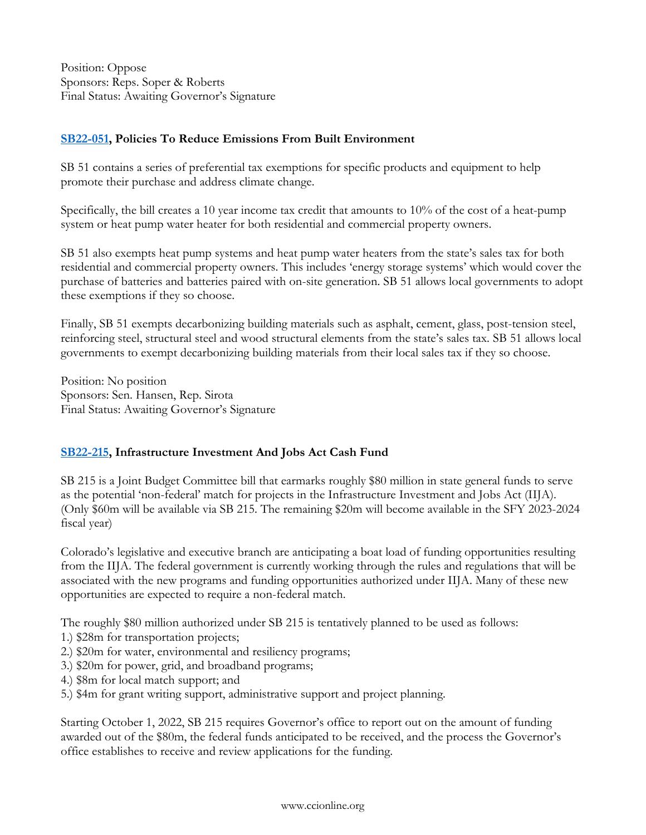Position: Oppose Sponsors: Reps. Soper & Roberts Final Status: Awaiting Governor's Signature

# **[SB22-051,](https://leg.colorado.gov/bills/sb22-051) Policies To Reduce Emissions From Built Environment**

SB 51 contains a series of preferential tax exemptions for specific products and equipment to help promote their purchase and address climate change.

Specifically, the bill creates a 10 year income tax credit that amounts to 10% of the cost of a heat-pump system or heat pump water heater for both residential and commercial property owners.

SB 51 also exempts heat pump systems and heat pump water heaters from the state's sales tax for both residential and commercial property owners. This includes 'energy storage systems' which would cover the purchase of batteries and batteries paired with on-site generation. SB 51 allows local governments to adopt these exemptions if they so choose.

Finally, SB 51 exempts decarbonizing building materials such as asphalt, cement, glass, post-tension steel, reinforcing steel, structural steel and wood structural elements from the state's sales tax. SB 51 allows local governments to exempt decarbonizing building materials from their local sales tax if they so choose.

Position: No position Sponsors: Sen. Hansen, Rep. Sirota Final Status: Awaiting Governor's Signature

# **[SB22-215,](https://leg.colorado.gov/bills/sb22-215) Infrastructure Investment And Jobs Act Cash Fund**

SB 215 is a Joint Budget Committee bill that earmarks roughly \$80 million in state general funds to serve as the potential 'non-federal' match for projects in the Infrastructure Investment and Jobs Act (IIJA). (Only \$60m will be available via SB 215. The remaining \$20m will become available in the SFY 2023-2024 fiscal year)

Colorado's legislative and executive branch are anticipating a boat load of funding opportunities resulting from the IIJA. The federal government is currently working through the rules and regulations that will be associated with the new programs and funding opportunities authorized under IIJA. Many of these new opportunities are expected to require a non-federal match.

The roughly \$80 million authorized under SB 215 is tentatively planned to be used as follows:

- 1.) \$28m for transportation projects;
- 2.) \$20m for water, environmental and resiliency programs;
- 3.) \$20m for power, grid, and broadband programs;
- 4.) \$8m for local match support; and
- 5.) \$4m for grant writing support, administrative support and project planning.

Starting October 1, 2022, SB 215 requires Governor's office to report out on the amount of funding awarded out of the \$80m, the federal funds anticipated to be received, and the process the Governor's office establishes to receive and review applications for the funding.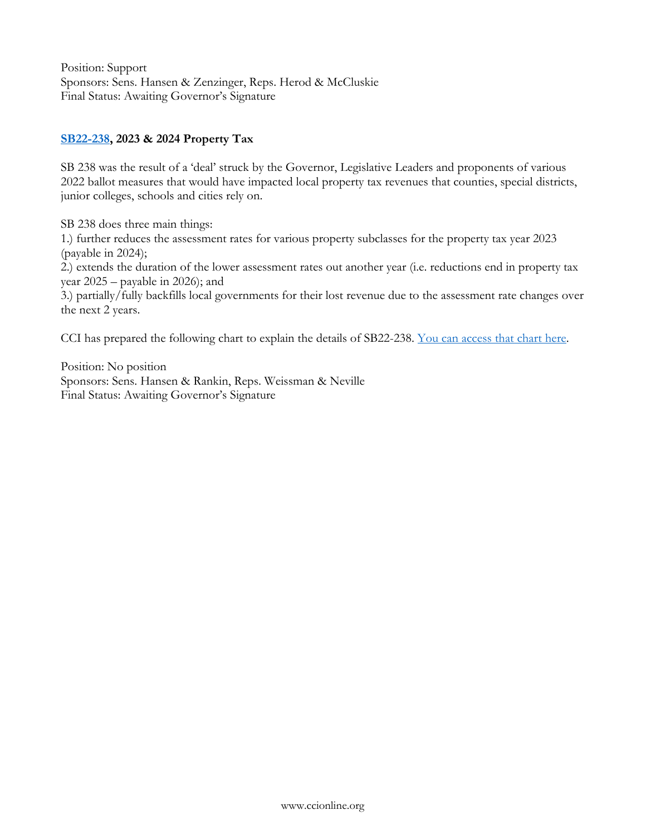Position: Support Sponsors: Sens. Hansen & Zenzinger, Reps. Herod & McCluskie Final Status: Awaiting Governor's Signature

### **[SB22-238,](https://leg.colorado.gov/bills/sb22-238) 2023 & 2024 Property Tax**

SB 238 was the result of a 'deal' struck by the Governor, Legislative Leaders and proponents of various 2022 ballot measures that would have impacted local property tax revenues that counties, special districts, junior colleges, schools and cities rely on.

SB 238 does three main things:

1.) further reduces the assessment rates for various property subclasses for the property tax year 2023 (payable in 2024);

2.) extends the duration of the lower assessment rates out another year (i.e. reductions end in property tax year 2025 – payable in 2026); and

3.) partially/fully backfills local governments for their lost revenue due to the assessment rate changes over the next 2 years.

CCI has prepared the following chart to explain the details of SB22-238. [You can access that chart here.](http://ccionline.org/download/2022_advocacy/Property-Tax-Assessment-Rate-bill_SB22-238_3.pdf)

Position: No position Sponsors: Sens. Hansen & Rankin, Reps. Weissman & Neville Final Status: Awaiting Governor's Signature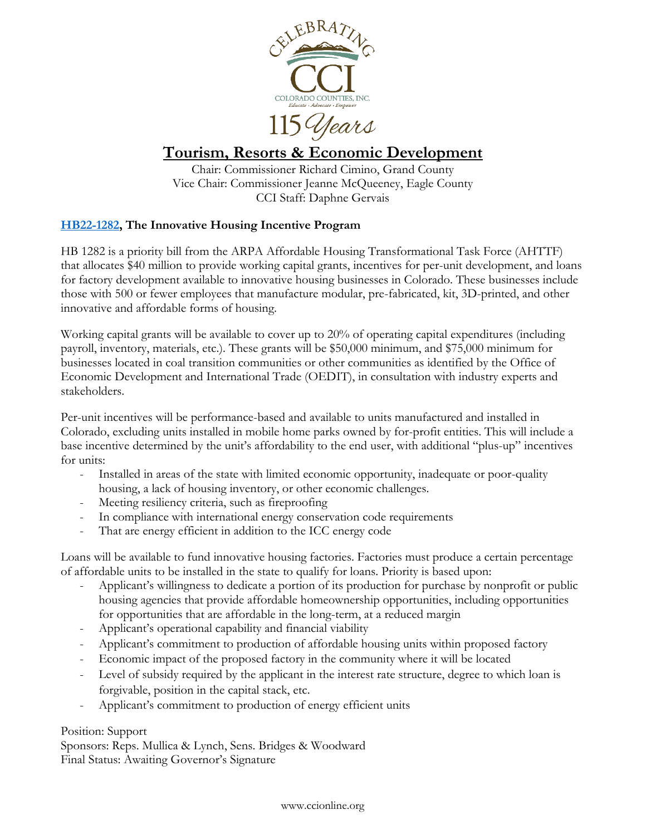

<span id="page-40-0"></span>115 Years

# **Tourism, Resorts & Economic Development**

Chair: Commissioner Richard Cimino, Grand County Vice Chair: Commissioner Jeanne McQueeney, Eagle County CCI Staff: Daphne Gervais

# **[HB22-1282,](https://leg.colorado.gov/bills/hb22-1282) The Innovative Housing Incentive Program**

HB 1282 is a priority bill from the ARPA Affordable Housing Transformational Task Force (AHTTF) that allocates \$40 million to provide working capital grants, incentives for per-unit development, and loans for factory development available to innovative housing businesses in Colorado. These businesses include those with 500 or fewer employees that manufacture modular, pre-fabricated, kit, 3D-printed, and other innovative and affordable forms of housing.

Working capital grants will be available to cover up to 20% of operating capital expenditures (including payroll, inventory, materials, etc.). These grants will be \$50,000 minimum, and \$75,000 minimum for businesses located in coal transition communities or other communities as identified by the Office of Economic Development and International Trade (OEDIT), in consultation with industry experts and stakeholders.

Per-unit incentives will be performance-based and available to units manufactured and installed in Colorado, excluding units installed in mobile home parks owned by for-profit entities. This will include a base incentive determined by the unit's affordability to the end user, with additional "plus-up" incentives for units:

- Installed in areas of the state with limited economic opportunity, inadequate or poor-quality housing, a lack of housing inventory, or other economic challenges.
- Meeting resiliency criteria, such as fireproofing
- In compliance with international energy conservation code requirements
- That are energy efficient in addition to the ICC energy code

Loans will be available to fund innovative housing factories. Factories must produce a certain percentage of affordable units to be installed in the state to qualify for loans. Priority is based upon:

- Applicant's willingness to dedicate a portion of its production for purchase by nonprofit or public housing agencies that provide affordable homeownership opportunities, including opportunities for opportunities that are affordable in the long-term, at a reduced margin
- Applicant's operational capability and financial viability
- Applicant's commitment to production of affordable housing units within proposed factory
- Economic impact of the proposed factory in the community where it will be located
- Level of subsidy required by the applicant in the interest rate structure, degree to which loan is forgivable, position in the capital stack, etc.
- Applicant's commitment to production of energy efficient units

# Position: Support

Sponsors: Reps. Mullica & Lynch, Sens. Bridges & Woodward Final Status: Awaiting Governor's Signature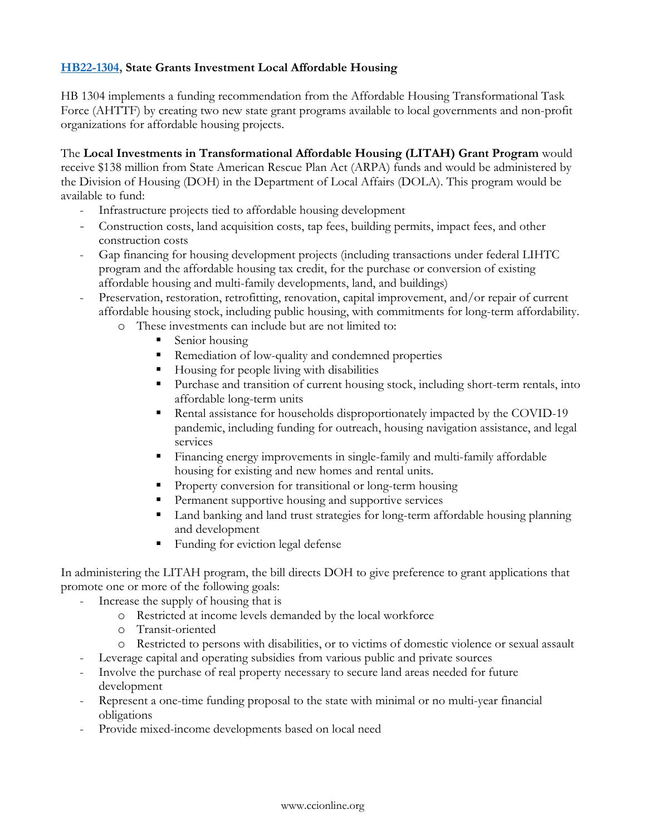# **[HB22-1304,](https://leg.colorado.gov/bills/hb22-1304) State Grants Investment Local Affordable Housing**

HB 1304 implements a funding recommendation from the Affordable Housing Transformational Task Force (AHTTF) by creating two new state grant programs available to local governments and non-profit organizations for affordable housing projects.

The **Local Investments in Transformational Affordable Housing (LITAH) Grant Program** would receive \$138 million from State American Rescue Plan Act (ARPA) funds and would be administered by the Division of Housing (DOH) in the Department of Local Affairs (DOLA). This program would be available to fund:

- Infrastructure projects tied to affordable housing development
- Construction costs, land acquisition costs, tap fees, building permits, impact fees, and other construction costs
- Gap financing for housing development projects (including transactions under federal LIHTC program and the affordable housing tax credit, for the purchase or conversion of existing affordable housing and multi-family developments, land, and buildings)
- Preservation, restoration, retrofitting, renovation, capital improvement, and/or repair of current affordable housing stock, including public housing, with commitments for long-term affordability.
	- o These investments can include but are not limited to:
		- Senior housing
		- Remediation of low-quality and condemned properties
		- Housing for people living with disabilities
		- Purchase and transition of current housing stock, including short-term rentals, into affordable long-term units
		- Rental assistance for households disproportionately impacted by the COVID-19 pandemic, including funding for outreach, housing navigation assistance, and legal services
		- Financing energy improvements in single-family and multi-family affordable housing for existing and new homes and rental units.
		- Property conversion for transitional or long-term housing
		- **•** Permanent supportive housing and supportive services
		- Land banking and land trust strategies for long-term affordable housing planning and development
		- Funding for eviction legal defense

In administering the LITAH program, the bill directs DOH to give preference to grant applications that promote one or more of the following goals:

- Increase the supply of housing that is
	- o Restricted at income levels demanded by the local workforce
	- o Transit-oriented
	- o Restricted to persons with disabilities, or to victims of domestic violence or sexual assault
- Leverage capital and operating subsidies from various public and private sources
- Involve the purchase of real property necessary to secure land areas needed for future development
- Represent a one-time funding proposal to the state with minimal or no multi-year financial obligations
- Provide mixed-income developments based on local need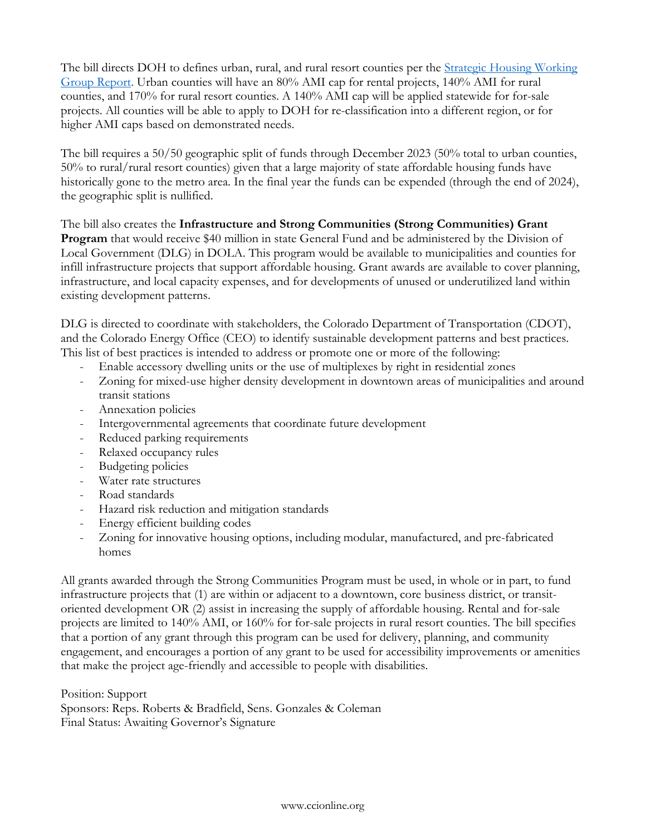The bill directs DOH to defines urban, rural, and rural resort counties per the [Strategic Housing Working](https://drive.google.com/file/d/1zj7sAxAsnZ5k0ELhNemK2NE8TVR3aKVI/view)  [Group](https://drive.google.com/file/d/1zj7sAxAsnZ5k0ELhNemK2NE8TVR3aKVI/view) Report. Urban counties will have an 80% AMI cap for rental projects, 140% AMI for rural counties, and 170% for rural resort counties. A 140% AMI cap will be applied statewide for for-sale projects. All counties will be able to apply to DOH for re-classification into a different region, or for higher AMI caps based on demonstrated needs.

The bill requires a 50/50 geographic split of funds through December 2023 (50% total to urban counties, 50% to rural/rural resort counties) given that a large majority of state affordable housing funds have historically gone to the metro area. In the final year the funds can be expended (through the end of 2024), the geographic split is nullified.

The bill also creates the **Infrastructure and Strong Communities (Strong Communities) Grant Program** that would receive \$40 million in state General Fund and be administered by the Division of Local Government (DLG) in DOLA. This program would be available to municipalities and counties for infill infrastructure projects that support affordable housing. Grant awards are available to cover planning, infrastructure, and local capacity expenses, and for developments of unused or underutilized land within existing development patterns.

DLG is directed to coordinate with stakeholders, the Colorado Department of Transportation (CDOT), and the Colorado Energy Office (CEO) to identify sustainable development patterns and best practices. This list of best practices is intended to address or promote one or more of the following:

- Enable accessory dwelling units or the use of multiplexes by right in residential zones
- Zoning for mixed-use higher density development in downtown areas of municipalities and around transit stations
- Annexation policies
- Intergovernmental agreements that coordinate future development
- Reduced parking requirements
- Relaxed occupancy rules
- Budgeting policies
- Water rate structures
- Road standards
- Hazard risk reduction and mitigation standards
- Energy efficient building codes
- Zoning for innovative housing options, including modular, manufactured, and pre-fabricated homes

All grants awarded through the Strong Communities Program must be used, in whole or in part, to fund infrastructure projects that (1) are within or adjacent to a downtown, core business district, or transitoriented development OR (2) assist in increasing the supply of affordable housing. Rental and for-sale projects are limited to 140% AMI, or 160% for for-sale projects in rural resort counties. The bill specifies that a portion of any grant through this program can be used for delivery, planning, and community engagement, and encourages a portion of any grant to be used for accessibility improvements or amenities that make the project age-friendly and accessible to people with disabilities.

Position: Support

Sponsors: Reps. Roberts & Bradfield, Sens. Gonzales & Coleman Final Status: Awaiting Governor's Signature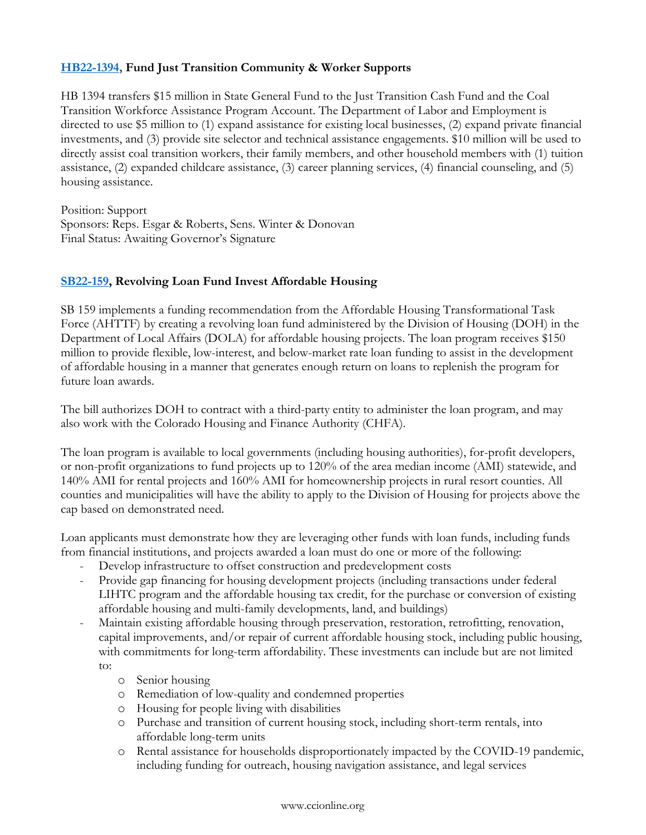# **[HB22-1394,](https://leg.colorado.gov/bills/hb22-1394) Fund Just Transition Community & Worker Supports**

HB 1394 transfers \$15 million in State General Fund to the Just Transition Cash Fund and the Coal Transition Workforce Assistance Program Account. The Department of Labor and Employment is directed to use \$5 million to (1) expand assistance for existing local businesses, (2) expand private financial investments, and (3) provide site selector and technical assistance engagements. \$10 million will be used to directly assist coal transition workers, their family members, and other household members with (1) tuition assistance, (2) expanded childcare assistance, (3) career planning services, (4) financial counseling, and (5) housing assistance.

Position: Support Sponsors: Reps. Esgar & Roberts, Sens. Winter & Donovan Final Status: Awaiting Governor's Signature

# **[SB22-159,](https://leg.colorado.gov/bills/sb22-159) Revolving Loan Fund Invest Affordable Housing**

SB 159 implements a funding recommendation from the Affordable Housing Transformational Task Force (AHTTF) by creating a revolving loan fund administered by the Division of Housing (DOH) in the Department of Local Affairs (DOLA) for affordable housing projects. The loan program receives \$150 million to provide flexible, low-interest, and below-market rate loan funding to assist in the development of affordable housing in a manner that generates enough return on loans to replenish the program for future loan awards.

The bill authorizes DOH to contract with a third-party entity to administer the loan program, and may also work with the Colorado Housing and Finance Authority (CHFA).

The loan program is available to local governments (including housing authorities), for-profit developers, or non-profit organizations to fund projects up to 120% of the area median income (AMI) statewide, and 140% AMI for rental projects and 160% AMI for homeownership projects in rural resort counties. All counties and municipalities will have the ability to apply to the Division of Housing for projects above the cap based on demonstrated need.

Loan applicants must demonstrate how they are leveraging other funds with loan funds, including funds from financial institutions, and projects awarded a loan must do one or more of the following:

- Develop infrastructure to offset construction and predevelopment costs
- Provide gap financing for housing development projects (including transactions under federal LIHTC program and the affordable housing tax credit, for the purchase or conversion of existing affordable housing and multi-family developments, land, and buildings)
- Maintain existing affordable housing through preservation, restoration, retrofitting, renovation, capital improvements, and/or repair of current affordable housing stock, including public housing, with commitments for long-term affordability. These investments can include but are not limited to:
	- o Senior housing
	- o Remediation of low-quality and condemned properties
	- o Housing for people living with disabilities
	- o Purchase and transition of current housing stock, including short-term rentals, into affordable long-term units
	- o Rental assistance for households disproportionately impacted by the COVID-19 pandemic, including funding for outreach, housing navigation assistance, and legal services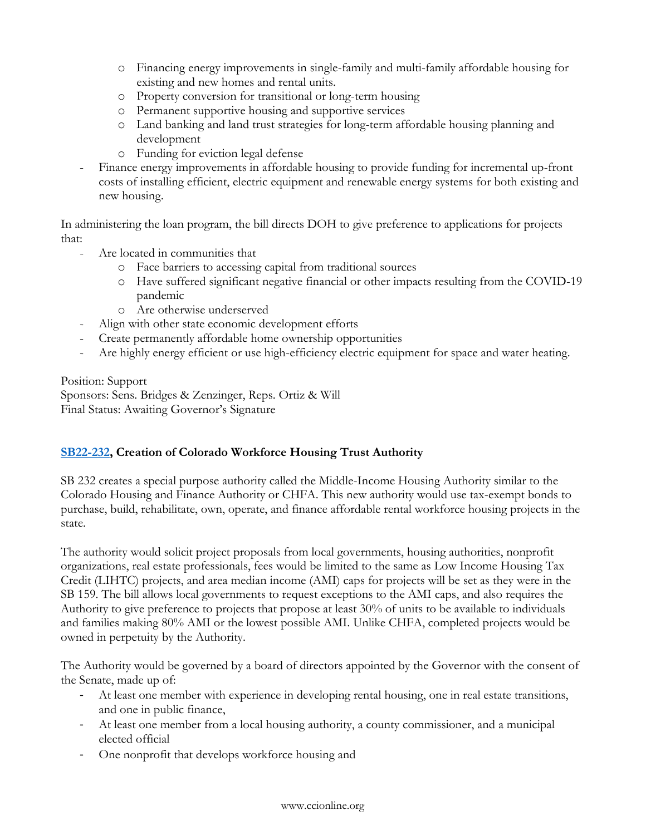- o Financing energy improvements in single-family and multi-family affordable housing for existing and new homes and rental units.
- o Property conversion for transitional or long-term housing
- o Permanent supportive housing and supportive services
- o Land banking and land trust strategies for long-term affordable housing planning and development
- o Funding for eviction legal defense
- Finance energy improvements in affordable housing to provide funding for incremental up-front costs of installing efficient, electric equipment and renewable energy systems for both existing and new housing.

In administering the loan program, the bill directs DOH to give preference to applications for projects that:

- Are located in communities that
	- o Face barriers to accessing capital from traditional sources
	- o Have suffered significant negative financial or other impacts resulting from the COVID-19 pandemic
	- o Are otherwise underserved
- Align with other state economic development efforts
- Create permanently affordable home ownership opportunities
- Are highly energy efficient or use high-efficiency electric equipment for space and water heating.

Position: Support Sponsors: Sens. Bridges & Zenzinger, Reps. Ortiz & Will Final Status: Awaiting Governor's Signature

# **[SB22-232,](https://leg.colorado.gov/bills/sb22-232) Creation of Colorado Workforce Housing Trust Authority**

SB 232 creates a special purpose authority called the Middle-Income Housing Authority similar to the Colorado Housing and Finance Authority or CHFA. This new authority would use tax-exempt bonds to purchase, build, rehabilitate, own, operate, and finance affordable rental workforce housing projects in the state.

The authority would solicit project proposals from local governments, housing authorities, nonprofit organizations, real estate professionals, fees would be limited to the same as Low Income Housing Tax Credit (LIHTC) projects, and area median income (AMI) caps for projects will be set as they were in the SB 159. The bill allows local governments to request exceptions to the AMI caps, and also requires the Authority to give preference to projects that propose at least 30% of units to be available to individuals and families making 80% AMI or the lowest possible AMI. Unlike CHFA, completed projects would be owned in perpetuity by the Authority.

The Authority would be governed by a board of directors appointed by the Governor with the consent of the Senate, made up of:

- At least one member with experience in developing rental housing, one in real estate transitions, and one in public finance,
- At least one member from a local housing authority, a county commissioner, and a municipal elected official
- One nonprofit that develops workforce housing and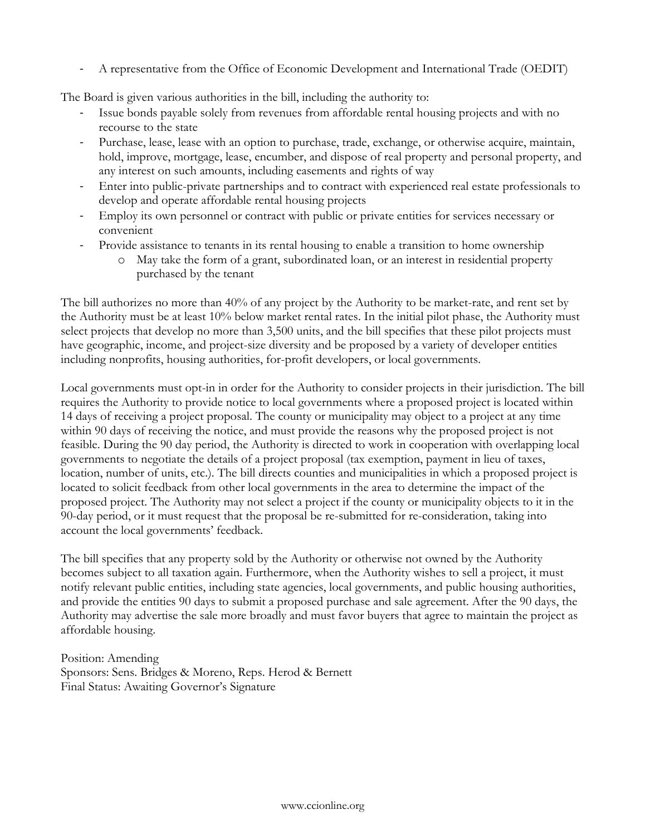- A representative from the Office of Economic Development and International Trade (OEDIT)

The Board is given various authorities in the bill, including the authority to:

- Issue bonds payable solely from revenues from affordable rental housing projects and with no recourse to the state
- Purchase, lease, lease with an option to purchase, trade, exchange, or otherwise acquire, maintain, hold, improve, mortgage, lease, encumber, and dispose of real property and personal property, and any interest on such amounts, including easements and rights of way
- Enter into public-private partnerships and to contract with experienced real estate professionals to develop and operate affordable rental housing projects
- Employ its own personnel or contract with public or private entities for services necessary or convenient
- Provide assistance to tenants in its rental housing to enable a transition to home ownership
	- o May take the form of a grant, subordinated loan, or an interest in residential property purchased by the tenant

The bill authorizes no more than 40% of any project by the Authority to be market-rate, and rent set by the Authority must be at least 10% below market rental rates. In the initial pilot phase, the Authority must select projects that develop no more than 3,500 units, and the bill specifies that these pilot projects must have geographic, income, and project-size diversity and be proposed by a variety of developer entities including nonprofits, housing authorities, for-profit developers, or local governments.

Local governments must opt-in in order for the Authority to consider projects in their jurisdiction. The bill requires the Authority to provide notice to local governments where a proposed project is located within 14 days of receiving a project proposal. The county or municipality may object to a project at any time within 90 days of receiving the notice, and must provide the reasons why the proposed project is not feasible. During the 90 day period, the Authority is directed to work in cooperation with overlapping local governments to negotiate the details of a project proposal (tax exemption, payment in lieu of taxes, location, number of units, etc.). The bill directs counties and municipalities in which a proposed project is located to solicit feedback from other local governments in the area to determine the impact of the proposed project. The Authority may not select a project if the county or municipality objects to it in the 90-day period, or it must request that the proposal be re-submitted for re-consideration, taking into account the local governments' feedback.

The bill specifies that any property sold by the Authority or otherwise not owned by the Authority becomes subject to all taxation again. Furthermore, when the Authority wishes to sell a project, it must notify relevant public entities, including state agencies, local governments, and public housing authorities, and provide the entities 90 days to submit a proposed purchase and sale agreement. After the 90 days, the Authority may advertise the sale more broadly and must favor buyers that agree to maintain the project as affordable housing.

Position: Amending Sponsors: Sens. Bridges & Moreno, Reps. Herod & Bernett Final Status: Awaiting Governor's Signature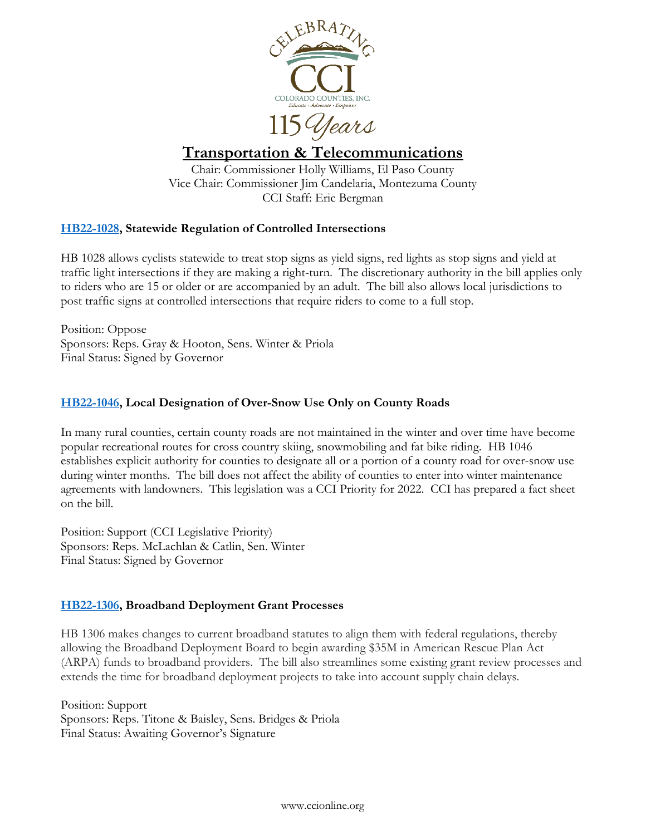

<span id="page-46-0"></span>115 Years

# **Transportation & Telecommunications**

Chair: Commissioner Holly Williams, El Paso County Vice Chair: Commissioner Jim Candelaria, Montezuma County CCI Staff: Eric Bergman

# **[HB22-1028,](http://leg.colorado.gov/bills/hb22-1028) Statewide Regulation of Controlled Intersections**

HB 1028 allows cyclists statewide to treat stop signs as yield signs, red lights as stop signs and yield at traffic light intersections if they are making a right-turn. The discretionary authority in the bill applies only to riders who are 15 or older or are accompanied by an adult. The bill also allows local jurisdictions to post traffic signs at controlled intersections that require riders to come to a full stop.

Position: Oppose Sponsors: Reps. Gray & Hooton, Sens. Winter & Priola Final Status: Signed by Governor

# **[HB22-1046,](http://leg.colorado.gov/bills/hb22-1046) Local Designation of Over-Snow Use Only on County Roads**

In many rural counties, certain county roads are not maintained in the winter and over time have become popular recreational routes for cross country skiing, snowmobiling and fat bike riding. HB 1046 establishes explicit authority for counties to designate all or a portion of a county road for over-snow use during winter months. The bill does not affect the ability of counties to enter into winter maintenance agreements with landowners. This legislation was a CCI Priority for 2022. CCI has prepared a fact sheet on the bill.

Position: Support (CCI Legislative Priority) Sponsors: Reps. McLachlan & Catlin, Sen. Winter Final Status: Signed by Governor

# **[HB22-1306,](https://leg.colorado.gov/bills/hb22-1306) Broadband Deployment Grant Processes**

HB 1306 makes changes to current broadband statutes to align them with federal regulations, thereby allowing the Broadband Deployment Board to begin awarding \$35M in American Rescue Plan Act (ARPA) funds to broadband providers. The bill also streamlines some existing grant review processes and extends the time for broadband deployment projects to take into account supply chain delays.

Position: Support Sponsors: Reps. Titone & Baisley, Sens. Bridges & Priola Final Status: Awaiting Governor's Signature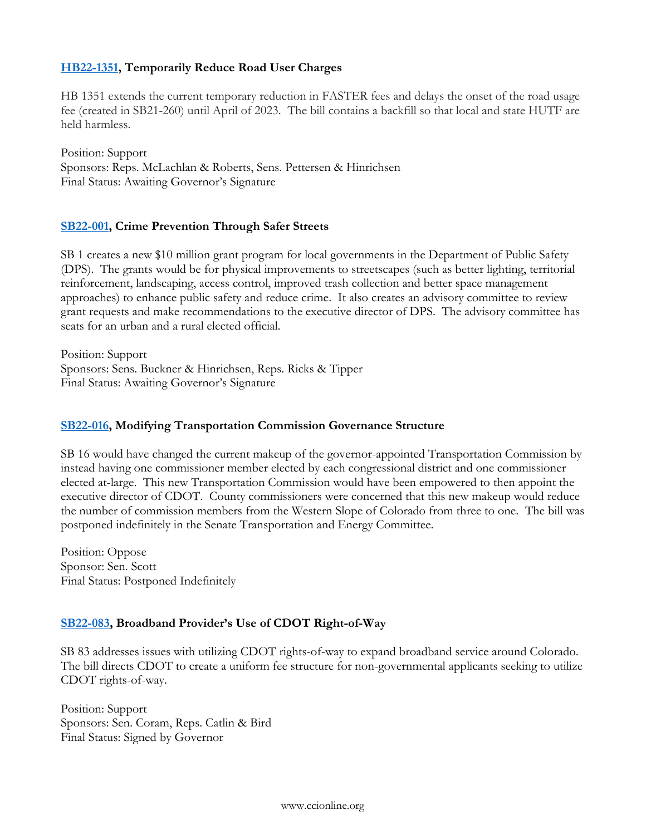# **[HB22-1351,](https://leg.colorado.gov/bills/hb22-1351) Temporarily Reduce Road User Charges**

HB 1351 extends the current temporary reduction in FASTER fees and delays the onset of the road usage fee (created in SB21-260) until April of 2023. The bill contains a backfill so that local and state HUTF are held harmless.

Position: Support Sponsors: Reps. McLachlan & Roberts, Sens. Pettersen & Hinrichsen Final Status: Awaiting Governor's Signature

# **[SB22-001,](http://leg.colorado.gov/bills/sb22-001) Crime Prevention Through Safer Streets**

SB 1 creates a new \$10 million grant program for local governments in the Department of Public Safety (DPS). The grants would be for physical improvements to streetscapes (such as better lighting, territorial reinforcement, landscaping, access control, improved trash collection and better space management approaches) to enhance public safety and reduce crime. It also creates an advisory committee to review grant requests and make recommendations to the executive director of DPS. The advisory committee has seats for an urban and a rural elected official.

Position: Support Sponsors: Sens. Buckner & Hinrichsen, Reps. Ricks & Tipper Final Status: Awaiting Governor's Signature

# **[SB22-016,](https://leg.colorado.gov/bills/sb22-016) Modifying Transportation Commission Governance Structure**

SB 16 would have changed the current makeup of the governor-appointed Transportation Commission by instead having one commissioner member elected by each congressional district and one commissioner elected at-large. This new Transportation Commission would have been empowered to then appoint the executive director of CDOT. County commissioners were concerned that this new makeup would reduce the number of commission members from the Western Slope of Colorado from three to one. The bill was postponed indefinitely in the Senate Transportation and Energy Committee.

Position: Oppose Sponsor: Sen. Scott Final Status: Postponed Indefinitely

# **[SB22-083](http://leg.colorado.gov/bills/sb22-083), Broadband Provider's Use of CDOT Right-of-Way**

SB 83 addresses issues with utilizing CDOT rights-of-way to expand broadband service around Colorado. The bill directs CDOT to create a uniform fee structure for non-governmental applicants seeking to utilize CDOT rights-of-way.

Position: Support Sponsors: Sen. Coram, Reps. Catlin & Bird Final Status: Signed by Governor